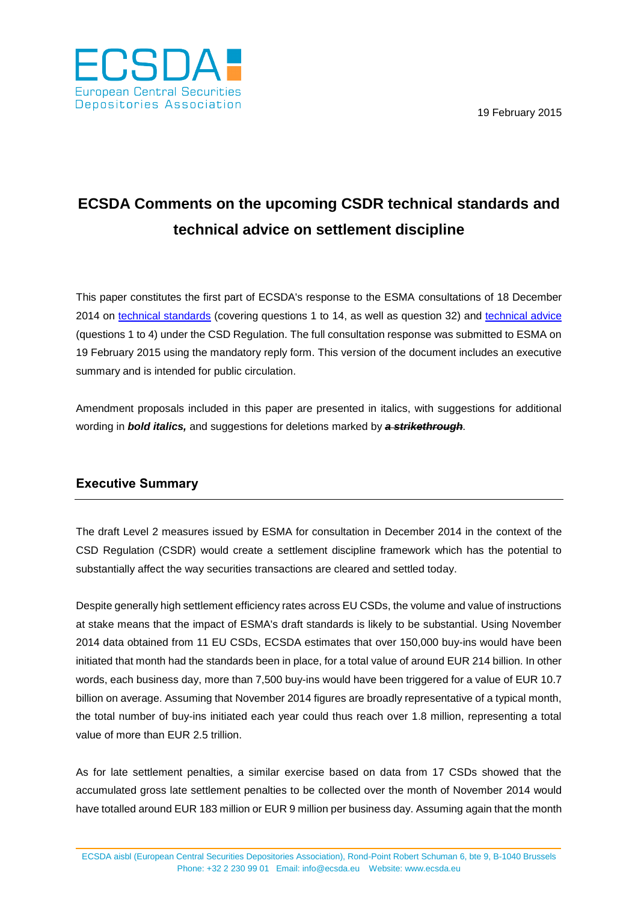19 February 2015



### **ECSDA Comments on the upcoming CSDR technical standards and technical advice on settlement discipline**

This paper constitutes the first part of ECSDA's response to the ESMA consultations of 18 December 2014 on [technical standards](http://www.esma.europa.eu/system/files/2014-1563_csdr_ts.pdf) (covering questions 1 to 14, as well as question 32) and [technical advice](http://www.esma.europa.eu/system/files/2014-1564_csdr_ta.pdf) (questions 1 to 4) under the CSD Regulation. The full consultation response was submitted to ESMA on 19 February 2015 using the mandatory reply form. This version of the document includes an executive summary and is intended for public circulation.

Amendment proposals included in this paper are presented in italics, with suggestions for additional wording in *bold italics,* and suggestions for deletions marked by *a strikethrough.*

### **Executive Summary**

The draft Level 2 measures issued by ESMA for consultation in December 2014 in the context of the CSD Regulation (CSDR) would create a settlement discipline framework which has the potential to substantially affect the way securities transactions are cleared and settled today.

Despite generally high settlement efficiency rates across EU CSDs, the volume and value of instructions at stake means that the impact of ESMA's draft standards is likely to be substantial. Using November 2014 data obtained from 11 EU CSDs, ECSDA estimates that over 150,000 buy-ins would have been initiated that month had the standards been in place, for a total value of around EUR 214 billion. In other words, each business day, more than 7,500 buy-ins would have been triggered for a value of EUR 10.7 billion on average. Assuming that November 2014 figures are broadly representative of a typical month, the total number of buy-ins initiated each year could thus reach over 1.8 million, representing a total value of more than EUR 2.5 trillion.

As for late settlement penalties, a similar exercise based on data from 17 CSDs showed that the accumulated gross late settlement penalties to be collected over the month of November 2014 would have totalled around EUR 183 million or EUR 9 million per business day. Assuming again that the month

ECSDA aisbl (European Central Securities Depositories Association), Rond-Point Robert Schuman 6, bte 9, B-1040 Brussels Phone: +32 2 230 99 01 Email: [info@ecsda.eu](mailto:info@ecsda.com) Website: [www.ecsda.eu](http://www.ecsda.eu/)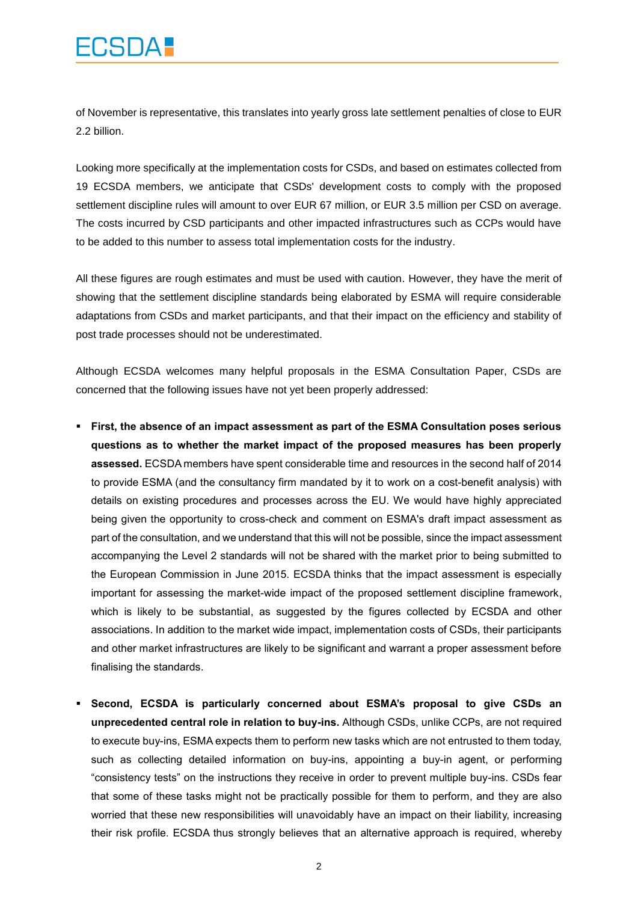## **CSDA:**

of November is representative, this translates into yearly gross late settlement penalties of close to EUR 2.2 billion.

Looking more specifically at the implementation costs for CSDs, and based on estimates collected from 19 ECSDA members, we anticipate that CSDs' development costs to comply with the proposed settlement discipline rules will amount to over EUR 67 million, or EUR 3.5 million per CSD on average. The costs incurred by CSD participants and other impacted infrastructures such as CCPs would have to be added to this number to assess total implementation costs for the industry.

All these figures are rough estimates and must be used with caution. However, they have the merit of showing that the settlement discipline standards being elaborated by ESMA will require considerable adaptations from CSDs and market participants, and that their impact on the efficiency and stability of post trade processes should not be underestimated.

Although ECSDA welcomes many helpful proposals in the ESMA Consultation Paper, CSDs are concerned that the following issues have not yet been properly addressed:

- **First, the absence of an impact assessment as part of the ESMA Consultation poses serious questions as to whether the market impact of the proposed measures has been properly assessed.** ECSDA members have spent considerable time and resources in the second half of 2014 to provide ESMA (and the consultancy firm mandated by it to work on a cost-benefit analysis) with details on existing procedures and processes across the EU. We would have highly appreciated being given the opportunity to cross-check and comment on ESMA's draft impact assessment as part of the consultation, and we understand that this will not be possible, since the impact assessment accompanying the Level 2 standards will not be shared with the market prior to being submitted to the European Commission in June 2015. ECSDA thinks that the impact assessment is especially important for assessing the market-wide impact of the proposed settlement discipline framework, which is likely to be substantial, as suggested by the figures collected by ECSDA and other associations. In addition to the market wide impact, implementation costs of CSDs, their participants and other market infrastructures are likely to be significant and warrant a proper assessment before finalising the standards.
- **Second, ECSDA is particularly concerned about ESMA's proposal to give CSDs an unprecedented central role in relation to buy-ins.** Although CSDs, unlike CCPs, are not required to execute buy-ins, ESMA expects them to perform new tasks which are not entrusted to them today, such as collecting detailed information on buy-ins, appointing a buy-in agent, or performing "consistency tests" on the instructions they receive in order to prevent multiple buy-ins. CSDs fear that some of these tasks might not be practically possible for them to perform, and they are also worried that these new responsibilities will unavoidably have an impact on their liability, increasing their risk profile. ECSDA thus strongly believes that an alternative approach is required, whereby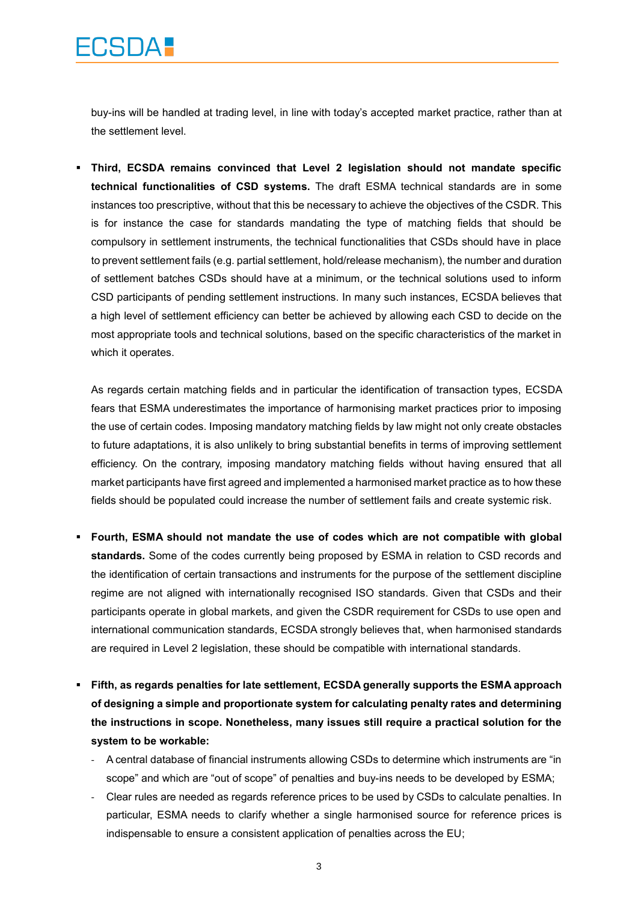buy-ins will be handled at trading level, in line with today's accepted market practice, rather than at the settlement level.

 **Third, ECSDA remains convinced that Level 2 legislation should not mandate specific technical functionalities of CSD systems.** The draft ESMA technical standards are in some instances too prescriptive, without that this be necessary to achieve the objectives of the CSDR. This is for instance the case for standards mandating the type of matching fields that should be compulsory in settlement instruments, the technical functionalities that CSDs should have in place to prevent settlement fails (e.g. partial settlement, hold/release mechanism), the number and duration of settlement batches CSDs should have at a minimum, or the technical solutions used to inform CSD participants of pending settlement instructions. In many such instances, ECSDA believes that a high level of settlement efficiency can better be achieved by allowing each CSD to decide on the most appropriate tools and technical solutions, based on the specific characteristics of the market in which it operates.

As regards certain matching fields and in particular the identification of transaction types, ECSDA fears that ESMA underestimates the importance of harmonising market practices prior to imposing the use of certain codes. Imposing mandatory matching fields by law might not only create obstacles to future adaptations, it is also unlikely to bring substantial benefits in terms of improving settlement efficiency. On the contrary, imposing mandatory matching fields without having ensured that all market participants have first agreed and implemented a harmonised market practice as to how these fields should be populated could increase the number of settlement fails and create systemic risk.

- **Fourth, ESMA should not mandate the use of codes which are not compatible with global standards.** Some of the codes currently being proposed by ESMA in relation to CSD records and the identification of certain transactions and instruments for the purpose of the settlement discipline regime are not aligned with internationally recognised ISO standards. Given that CSDs and their participants operate in global markets, and given the CSDR requirement for CSDs to use open and international communication standards, ECSDA strongly believes that, when harmonised standards are required in Level 2 legislation, these should be compatible with international standards.
- **Fifth, as regards penalties for late settlement, ECSDA generally supports the ESMA approach of designing a simple and proportionate system for calculating penalty rates and determining the instructions in scope. Nonetheless, many issues still require a practical solution for the system to be workable:**
	- A central database of financial instruments allowing CSDs to determine which instruments are "in scope" and which are "out of scope" of penalties and buy-ins needs to be developed by ESMA;
	- Clear rules are needed as regards reference prices to be used by CSDs to calculate penalties. In particular, ESMA needs to clarify whether a single harmonised source for reference prices is indispensable to ensure a consistent application of penalties across the EU;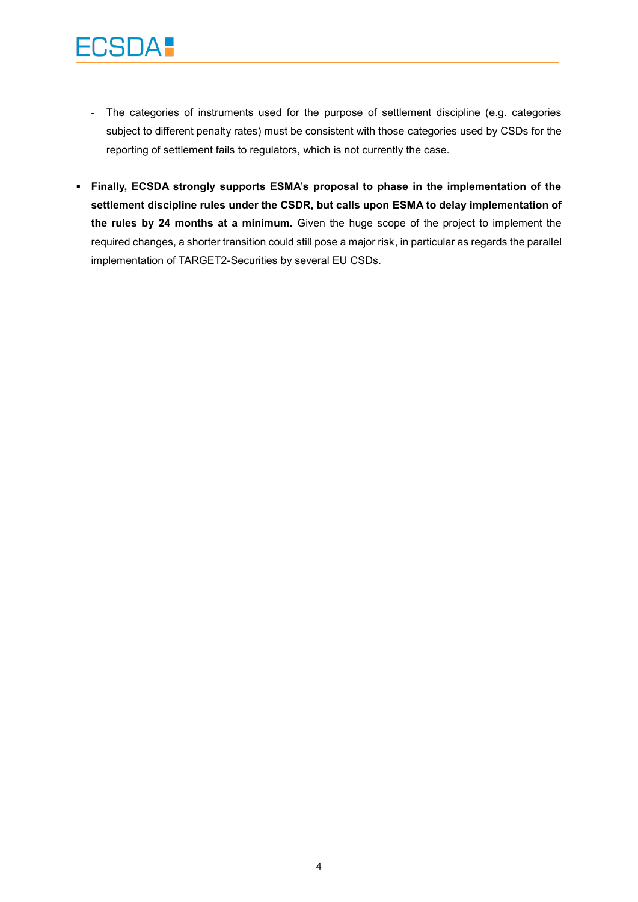- The categories of instruments used for the purpose of settlement discipline (e.g. categories subject to different penalty rates) must be consistent with those categories used by CSDs for the reporting of settlement fails to regulators, which is not currently the case.
- **Finally, ECSDA strongly supports ESMA's proposal to phase in the implementation of the settlement discipline rules under the CSDR, but calls upon ESMA to delay implementation of the rules by 24 months at a minimum.** Given the huge scope of the project to implement the required changes, a shorter transition could still pose a major risk, in particular as regards the parallel implementation of TARGET2-Securities by several EU CSDs.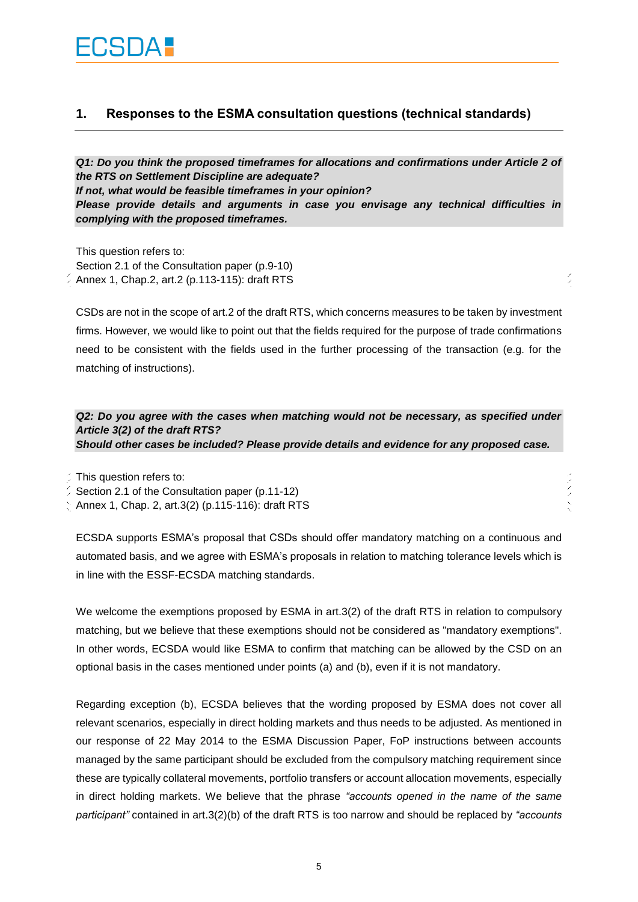### **1. Responses to the ESMA consultation questions (technical standards)**

*Q1: Do you think the proposed timeframes for allocations and confirmations under Article 2 of the RTS on Settlement Discipline are adequate? If not, what would be feasible timeframes in your opinion? Please provide details and arguments in case you envisage any technical difficulties in complying with the proposed timeframes.*

This question refers to: Section 2.1 of the Consultation paper (p.9-10)  $\frac{2}{3}$  Annex 1, Chap.2, art.2 (p.113-115): draft RTS

CSDs are not in the scope of art.2 of the draft RTS, which concerns measures to be taken by investment firms. However, we would like to point out that the fields required for the purpose of trade confirmations need to be consistent with the fields used in the further processing of the transaction (e.g. for the matching of instructions).

 $\frac{2}{2}$ 

*Q2: Do you agree with the cases when matching would not be necessary, as specified under Article 3(2) of the draft RTS? Should other cases be included? Please provide details and evidence for any proposed case.*

This question refers to:

Section 2.1 of the Consultation paper (p.11-12)

Annex 1, Chap. 2, art.3(2) (p.115-116): draft RTS

ECSDA supports ESMA's proposal that CSDs should offer mandatory matching on a continuous and automated basis, and we agree with ESMA's proposals in relation to matching tolerance levels which is in line with the ESSF-ECSDA matching standards.

We welcome the exemptions proposed by ESMA in art.3(2) of the draft RTS in relation to compulsory matching, but we believe that these exemptions should not be considered as "mandatory exemptions". In other words, ECSDA would like ESMA to confirm that matching can be allowed by the CSD on an optional basis in the cases mentioned under points (a) and (b), even if it is not mandatory.

Regarding exception (b), ECSDA believes that the wording proposed by ESMA does not cover all relevant scenarios, especially in direct holding markets and thus needs to be adjusted. As mentioned in our response of 22 May 2014 to the ESMA Discussion Paper, FoP instructions between accounts managed by the same participant should be excluded from the compulsory matching requirement since these are typically collateral movements, portfolio transfers or account allocation movements, especially in direct holding markets. We believe that the phrase *"accounts opened in the name of the same participant"* contained in art.3(2)(b) of the draft RTS is too narrow and should be replaced by *"accounts*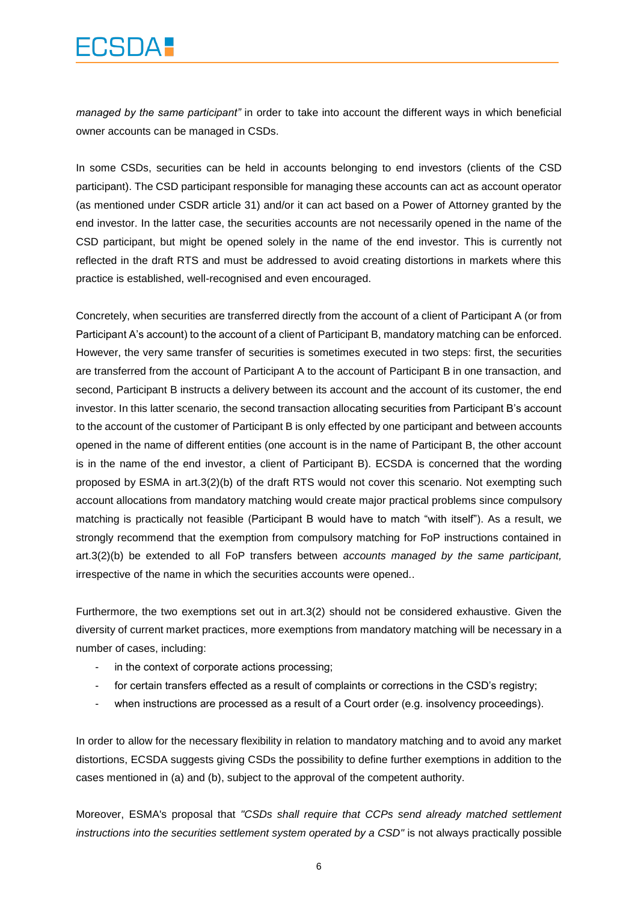## CSDA .

*managed by the same participant"* in order to take into account the different ways in which beneficial owner accounts can be managed in CSDs.

In some CSDs, securities can be held in accounts belonging to end investors (clients of the CSD participant). The CSD participant responsible for managing these accounts can act as account operator (as mentioned under CSDR article 31) and/or it can act based on a Power of Attorney granted by the end investor. In the latter case, the securities accounts are not necessarily opened in the name of the CSD participant, but might be opened solely in the name of the end investor. This is currently not reflected in the draft RTS and must be addressed to avoid creating distortions in markets where this practice is established, well-recognised and even encouraged.

Concretely, when securities are transferred directly from the account of a client of Participant A (or from Participant A's account) to the account of a client of Participant B, mandatory matching can be enforced. However, the very same transfer of securities is sometimes executed in two steps: first, the securities are transferred from the account of Participant A to the account of Participant B in one transaction, and second, Participant B instructs a delivery between its account and the account of its customer, the end investor. In this latter scenario, the second transaction allocating securities from Participant B's account to the account of the customer of Participant B is only effected by one participant and between accounts opened in the name of different entities (one account is in the name of Participant B, the other account is in the name of the end investor, a client of Participant B). ECSDA is concerned that the wording proposed by ESMA in art.3(2)(b) of the draft RTS would not cover this scenario. Not exempting such account allocations from mandatory matching would create major practical problems since compulsory matching is practically not feasible (Participant B would have to match "with itself"). As a result, we strongly recommend that the exemption from compulsory matching for FoP instructions contained in art.3(2)(b) be extended to all FoP transfers between *accounts managed by the same participant,*  irrespective of the name in which the securities accounts were opened..

Furthermore, the two exemptions set out in art.3(2) should not be considered exhaustive. Given the diversity of current market practices, more exemptions from mandatory matching will be necessary in a number of cases, including:

- in the context of corporate actions processing;
- for certain transfers effected as a result of complaints or corrections in the CSD's registry;
- when instructions are processed as a result of a Court order (e.g. insolvency proceedings).

In order to allow for the necessary flexibility in relation to mandatory matching and to avoid any market distortions, ECSDA suggests giving CSDs the possibility to define further exemptions in addition to the cases mentioned in (a) and (b), subject to the approval of the competent authority.

Moreover, ESMA's proposal that *"CSDs shall require that CCPs send already matched settlement instructions into the securities settlement system operated by a CSD"* is not always practically possible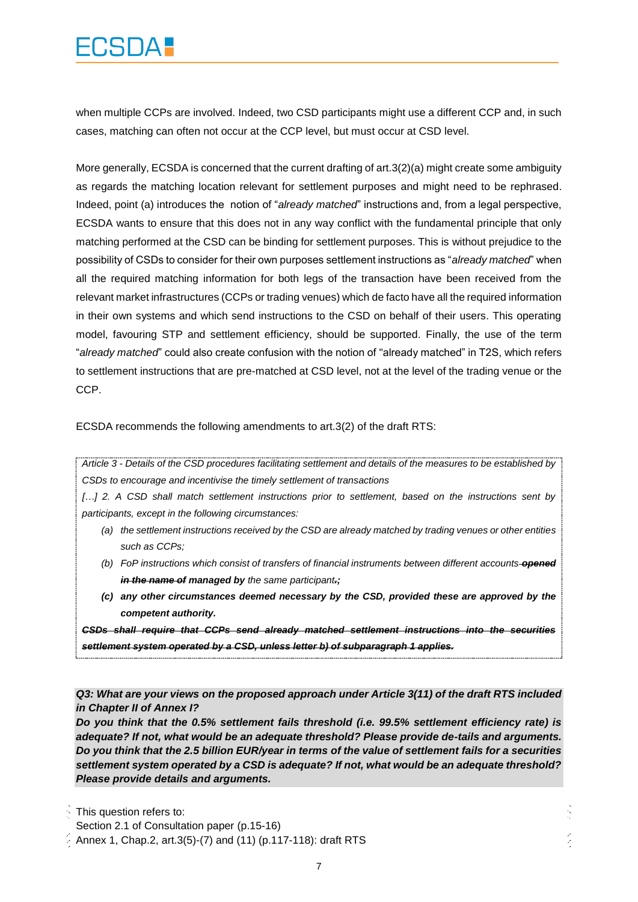# 

when multiple CCPs are involved. Indeed, two CSD participants might use a different CCP and, in such cases, matching can often not occur at the CCP level, but must occur at CSD level.

More generally, ECSDA is concerned that the current drafting of art.3(2)(a) might create some ambiguity as regards the matching location relevant for settlement purposes and might need to be rephrased. Indeed, point (a) introduces the notion of "*already matched*" instructions and, from a legal perspective, ECSDA wants to ensure that this does not in any way conflict with the fundamental principle that only matching performed at the CSD can be binding for settlement purposes. This is without prejudice to the possibility of CSDs to consider for their own purposes settlement instructions as "*already matched*" when all the required matching information for both legs of the transaction have been received from the relevant market infrastructures (CCPs or trading venues) which de facto have all the required information in their own systems and which send instructions to the CSD on behalf of their users. This operating model, favouring STP and settlement efficiency, should be supported. Finally, the use of the term "*already matched*" could also create confusion with the notion of "already matched" in T2S, which refers to settlement instructions that are pre-matched at CSD level, not at the level of the trading venue or the CCP.

ECSDA recommends the following amendments to art.3(2) of the draft RTS:

*Article 3 - Details of the CSD procedures facilitating settlement and details of the measures to be established by CSDs to encourage and incentivise the timely settlement of transactions*

[...] 2. A CSD shall match settlement instructions prior to settlement, based on the instructions sent by *participants, except in the following circumstances:* 

- *(a) the settlement instructions received by the CSD are already matched by trading venues or other entities such as CCPs;*
- *(b) FoP instructions which consist of transfers of financial instruments between different accounts opened in the name of managed by the same participant.;*
- *(c) any other circumstances deemed necessary by the CSD, provided these are approved by the competent authority.*

*CSDs shall require that CCPs send already matched settlement instructions into the securities settlement system operated by a CSD, unless letter b) of subparagraph 1 applies.*

#### *Q3: What are your views on the proposed approach under Article 3(11) of the draft RTS included in Chapter II of Annex I?*

*Do you think that the 0.5% settlement fails threshold (i.e. 99.5% settlement efficiency rate) is adequate? If not, what would be an adequate threshold? Please provide de-tails and arguments. Do you think that the 2.5 billion EUR/year in terms of the value of settlement fails for a securities settlement system operated by a CSD is adequate? If not, what would be an adequate threshold? Please provide details and arguments.*

This question refers to:

Section 2.1 of Consultation paper (p.15-16)

Annex 1, Chap.2, art.3(5)-(7) and (11) (p.117-118): draft RTS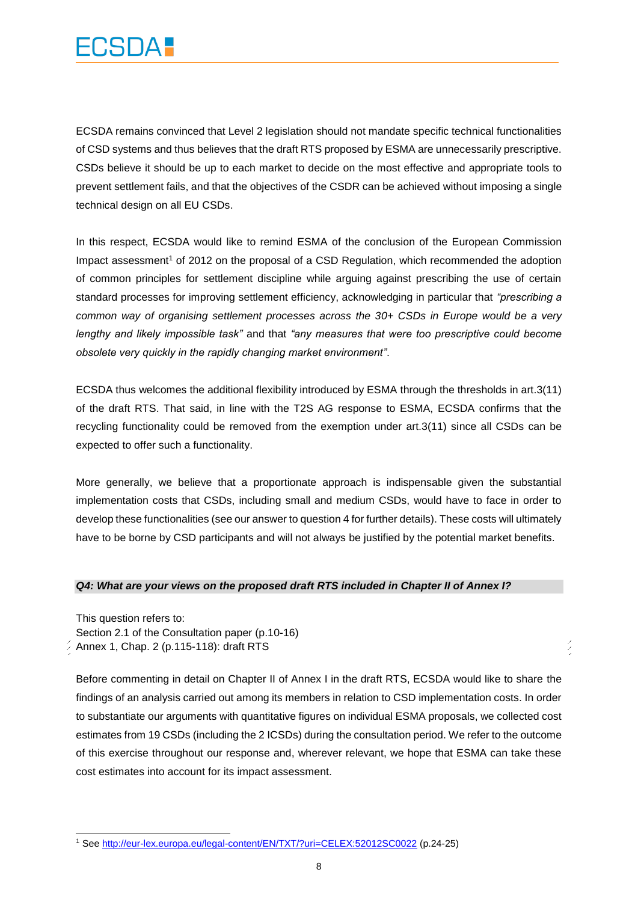

ECSDA remains convinced that Level 2 legislation should not mandate specific technical functionalities of CSD systems and thus believes that the draft RTS proposed by ESMA are unnecessarily prescriptive. CSDs believe it should be up to each market to decide on the most effective and appropriate tools to prevent settlement fails, and that the objectives of the CSDR can be achieved without imposing a single technical design on all EU CSDs.

In this respect, ECSDA would like to remind ESMA of the conclusion of the European Commission Impact assessment<sup>1</sup> of 2012 on the proposal of a CSD Regulation, which recommended the adoption of common principles for settlement discipline while arguing against prescribing the use of certain standard processes for improving settlement efficiency, acknowledging in particular that *"prescribing a common way of organising settlement processes across the 30+ CSDs in Europe would be a very lengthy and likely impossible task"* and that *"any measures that were too prescriptive could become obsolete very quickly in the rapidly changing market environment"*.

ECSDA thus welcomes the additional flexibility introduced by ESMA through the thresholds in art.3(11) of the draft RTS. That said, in line with the T2S AG response to ESMA, ECSDA confirms that the recycling functionality could be removed from the exemption under art.3(11) since all CSDs can be expected to offer such a functionality.

More generally, we believe that a proportionate approach is indispensable given the substantial implementation costs that CSDs, including small and medium CSDs, would have to face in order to develop these functionalities (see our answer to question 4 for further details). These costs will ultimately have to be borne by CSD participants and will not always be justified by the potential market benefits.

#### *Q4: What are your views on the proposed draft RTS included in Chapter II of Annex I?*

This question refers to: Section 2.1 of the Consultation paper (p.10-16) Annex 1, Chap. 2 (p.115-118): draft RTS

 $\overline{\phantom{a}}$ 

Before commenting in detail on Chapter II of Annex I in the draft RTS, ECSDA would like to share the findings of an analysis carried out among its members in relation to CSD implementation costs. In order to substantiate our arguments with quantitative figures on individual ESMA proposals, we collected cost estimates from 19 CSDs (including the 2 ICSDs) during the consultation period. We refer to the outcome of this exercise throughout our response and, wherever relevant, we hope that ESMA can take these cost estimates into account for its impact assessment.

 $\frac{1}{2}$ 

<sup>1</sup> See <http://eur-lex.europa.eu/legal-content/EN/TXT/?uri=CELEX:52012SC0022> (p.24-25)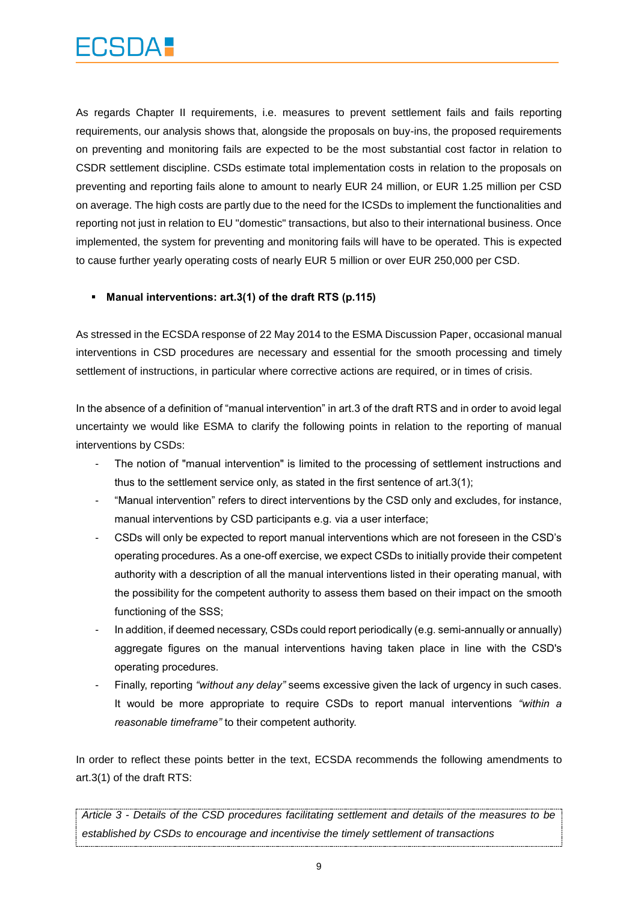As regards Chapter II requirements, i.e. measures to prevent settlement fails and fails reporting requirements, our analysis shows that, alongside the proposals on buy-ins, the proposed requirements on preventing and monitoring fails are expected to be the most substantial cost factor in relation to CSDR settlement discipline. CSDs estimate total implementation costs in relation to the proposals on preventing and reporting fails alone to amount to nearly EUR 24 million, or EUR 1.25 million per CSD on average. The high costs are partly due to the need for the ICSDs to implement the functionalities and reporting not just in relation to EU "domestic" transactions, but also to their international business. Once implemented, the system for preventing and monitoring fails will have to be operated. This is expected to cause further yearly operating costs of nearly EUR 5 million or over EUR 250,000 per CSD.

#### **Manual interventions: art.3(1) of the draft RTS (p.115)**

As stressed in the ECSDA response of 22 May 2014 to the ESMA Discussion Paper, occasional manual interventions in CSD procedures are necessary and essential for the smooth processing and timely settlement of instructions, in particular where corrective actions are required, or in times of crisis.

In the absence of a definition of "manual intervention" in art.3 of the draft RTS and in order to avoid legal uncertainty we would like ESMA to clarify the following points in relation to the reporting of manual interventions by CSDs:

- The notion of "manual intervention" is limited to the processing of settlement instructions and thus to the settlement service only, as stated in the first sentence of art.3(1);
- "Manual intervention" refers to direct interventions by the CSD only and excludes, for instance, manual interventions by CSD participants e.g. via a user interface;
- CSDs will only be expected to report manual interventions which are not foreseen in the CSD's operating procedures. As a one-off exercise, we expect CSDs to initially provide their competent authority with a description of all the manual interventions listed in their operating manual, with the possibility for the competent authority to assess them based on their impact on the smooth functioning of the SSS;
- In addition, if deemed necessary, CSDs could report periodically (e.g. semi-annually or annually) aggregate figures on the manual interventions having taken place in line with the CSD's operating procedures.
- Finally, reporting *"without any delay"* seems excessive given the lack of urgency in such cases. It would be more appropriate to require CSDs to report manual interventions *"within a reasonable timeframe"* to their competent authority.

In order to reflect these points better in the text, ECSDA recommends the following amendments to art.3(1) of the draft RTS:

*Article 3 - Details of the CSD procedures facilitating settlement and details of the measures to be established by CSDs to encourage and incentivise the timely settlement of transactions*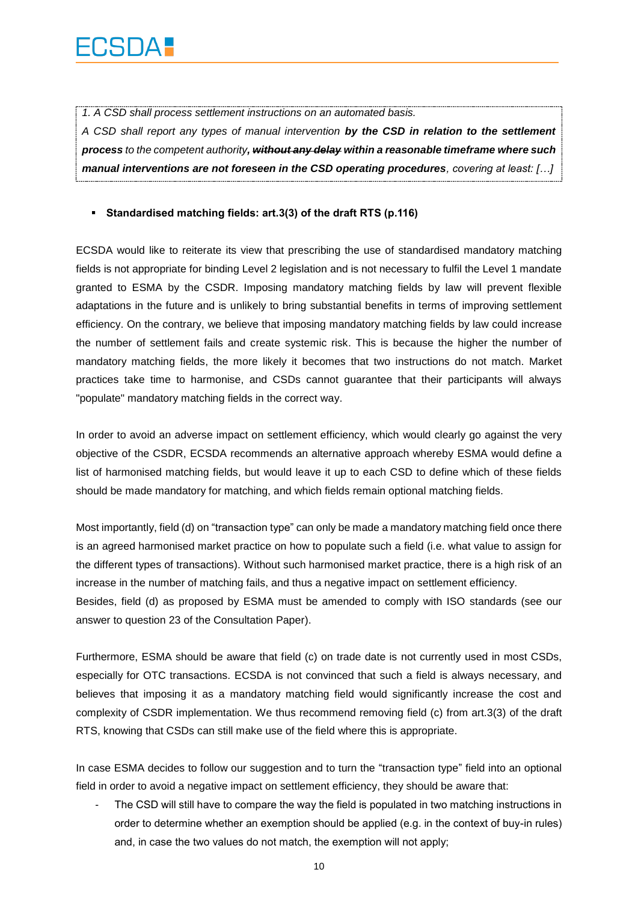*1. A CSD shall process settlement instructions on an automated basis.*

*A CSD shall report any types of manual intervention by the CSD in relation to the settlement process to the competent authority, without any delay within a reasonable timeframe where such manual interventions are not foreseen in the CSD operating procedures, covering at least: […]*

#### **Standardised matching fields: art.3(3) of the draft RTS (p.116)**

ECSDA would like to reiterate its view that prescribing the use of standardised mandatory matching fields is not appropriate for binding Level 2 legislation and is not necessary to fulfil the Level 1 mandate granted to ESMA by the CSDR. Imposing mandatory matching fields by law will prevent flexible adaptations in the future and is unlikely to bring substantial benefits in terms of improving settlement efficiency. On the contrary, we believe that imposing mandatory matching fields by law could increase the number of settlement fails and create systemic risk. This is because the higher the number of mandatory matching fields, the more likely it becomes that two instructions do not match. Market practices take time to harmonise, and CSDs cannot guarantee that their participants will always "populate" mandatory matching fields in the correct way.

In order to avoid an adverse impact on settlement efficiency, which would clearly go against the very objective of the CSDR, ECSDA recommends an alternative approach whereby ESMA would define a list of harmonised matching fields, but would leave it up to each CSD to define which of these fields should be made mandatory for matching, and which fields remain optional matching fields.

Most importantly, field (d) on "transaction type" can only be made a mandatory matching field once there is an agreed harmonised market practice on how to populate such a field (i.e. what value to assign for the different types of transactions). Without such harmonised market practice, there is a high risk of an increase in the number of matching fails, and thus a negative impact on settlement efficiency. Besides, field (d) as proposed by ESMA must be amended to comply with ISO standards (see our answer to question 23 of the Consultation Paper).

Furthermore, ESMA should be aware that field (c) on trade date is not currently used in most CSDs, especially for OTC transactions. ECSDA is not convinced that such a field is always necessary, and believes that imposing it as a mandatory matching field would significantly increase the cost and complexity of CSDR implementation. We thus recommend removing field (c) from art.3(3) of the draft RTS, knowing that CSDs can still make use of the field where this is appropriate.

In case ESMA decides to follow our suggestion and to turn the "transaction type" field into an optional field in order to avoid a negative impact on settlement efficiency, they should be aware that:

The CSD will still have to compare the way the field is populated in two matching instructions in order to determine whether an exemption should be applied (e.g. in the context of buy-in rules) and, in case the two values do not match, the exemption will not apply;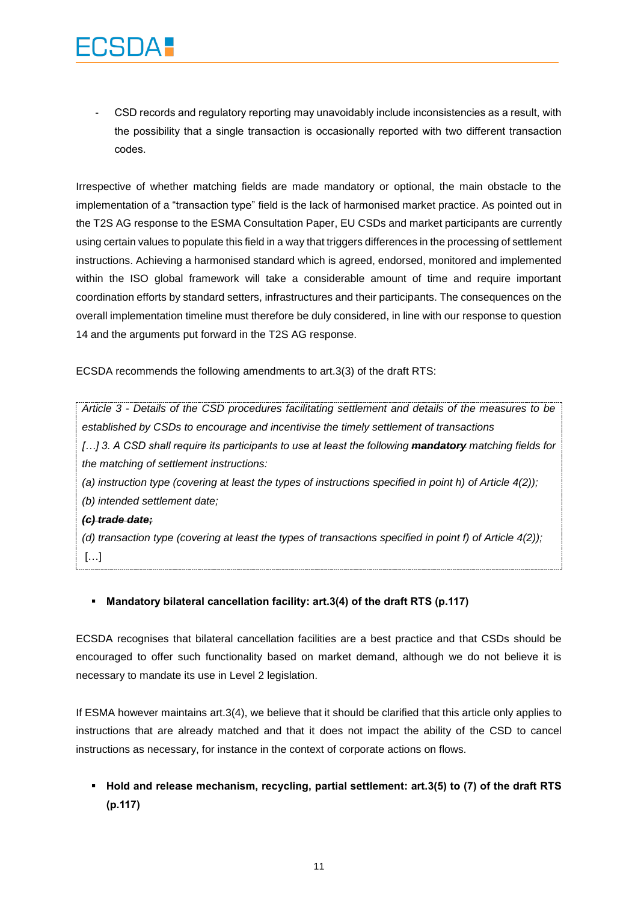- CSD records and regulatory reporting may unavoidably include inconsistencies as a result, with the possibility that a single transaction is occasionally reported with two different transaction codes.

Irrespective of whether matching fields are made mandatory or optional, the main obstacle to the implementation of a "transaction type" field is the lack of harmonised market practice. As pointed out in the T2S AG response to the ESMA Consultation Paper, EU CSDs and market participants are currently using certain values to populate this field in a way that triggers differences in the processing of settlement instructions. Achieving a harmonised standard which is agreed, endorsed, monitored and implemented within the ISO global framework will take a considerable amount of time and require important coordination efforts by standard setters, infrastructures and their participants. The consequences on the overall implementation timeline must therefore be duly considered, in line with our response to question 14 and the arguments put forward in the T2S AG response.

ECSDA recommends the following amendments to art.3(3) of the draft RTS:

*Article 3 - Details of the CSD procedures facilitating settlement and details of the measures to be established by CSDs to encourage and incentivise the timely settlement of transactions*

*[…] 3. A CSD shall require its participants to use at least the following mandatory matching fields for the matching of settlement instructions:*

*(a) instruction type (covering at least the types of instructions specified in point h) of Article 4(2)); (b) intended settlement date;*

#### *(c) trade date;*

*(d) transaction type (covering at least the types of transactions specified in point f) of Article 4(2));* […]

#### **Mandatory bilateral cancellation facility: art.3(4) of the draft RTS (p.117)**

ECSDA recognises that bilateral cancellation facilities are a best practice and that CSDs should be encouraged to offer such functionality based on market demand, although we do not believe it is necessary to mandate its use in Level 2 legislation.

If ESMA however maintains art.3(4), we believe that it should be clarified that this article only applies to instructions that are already matched and that it does not impact the ability of the CSD to cancel instructions as necessary, for instance in the context of corporate actions on flows.

### **Hold and release mechanism, recycling, partial settlement: art.3(5) to (7) of the draft RTS (p.117)**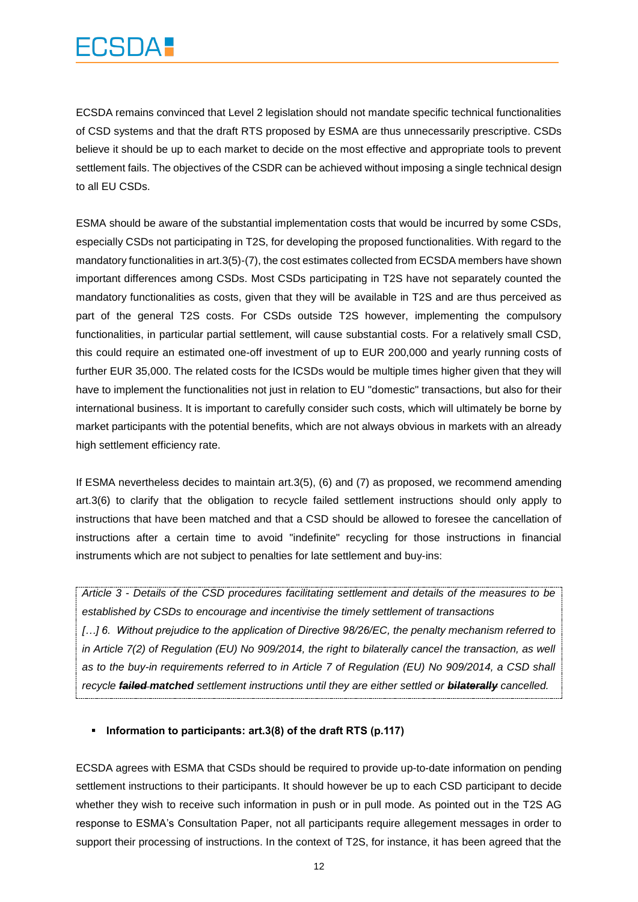## 

ECSDA remains convinced that Level 2 legislation should not mandate specific technical functionalities of CSD systems and that the draft RTS proposed by ESMA are thus unnecessarily prescriptive. CSDs believe it should be up to each market to decide on the most effective and appropriate tools to prevent settlement fails. The objectives of the CSDR can be achieved without imposing a single technical design to all EU CSDs.

ESMA should be aware of the substantial implementation costs that would be incurred by some CSDs, especially CSDs not participating in T2S, for developing the proposed functionalities. With regard to the mandatory functionalities in art.3(5)-(7), the cost estimates collected from ECSDA members have shown important differences among CSDs. Most CSDs participating in T2S have not separately counted the mandatory functionalities as costs, given that they will be available in T2S and are thus perceived as part of the general T2S costs. For CSDs outside T2S however, implementing the compulsory functionalities, in particular partial settlement, will cause substantial costs. For a relatively small CSD, this could require an estimated one-off investment of up to EUR 200,000 and yearly running costs of further EUR 35,000. The related costs for the ICSDs would be multiple times higher given that they will have to implement the functionalities not just in relation to EU "domestic" transactions, but also for their international business. It is important to carefully consider such costs, which will ultimately be borne by market participants with the potential benefits, which are not always obvious in markets with an already high settlement efficiency rate.

If ESMA nevertheless decides to maintain art.3(5), (6) and (7) as proposed, we recommend amending art.3(6) to clarify that the obligation to recycle failed settlement instructions should only apply to instructions that have been matched and that a CSD should be allowed to foresee the cancellation of instructions after a certain time to avoid "indefinite" recycling for those instructions in financial instruments which are not subject to penalties for late settlement and buy-ins:

*Article 3 - Details of the CSD procedures facilitating settlement and details of the measures to be established by CSDs to encourage and incentivise the timely settlement of transactions […] 6. Without prejudice to the application of Directive 98/26/EC, the penalty mechanism referred to in Article 7(2) of Regulation (EU) No 909/2014, the right to bilaterally cancel the transaction, as well* as to the buy-in requirements referred to in Article 7 of Requlation (EU) No 909/2014, a CSD shall *recycle failed matched settlement instructions until they are either settled or bilaterally cancelled.*

#### **Information to participants: art.3(8) of the draft RTS (p.117)**

ECSDA agrees with ESMA that CSDs should be required to provide up-to-date information on pending settlement instructions to their participants. It should however be up to each CSD participant to decide whether they wish to receive such information in push or in pull mode. As pointed out in the T2S AG response to ESMA's Consultation Paper, not all participants require allegement messages in order to support their processing of instructions. In the context of T2S, for instance, it has been agreed that the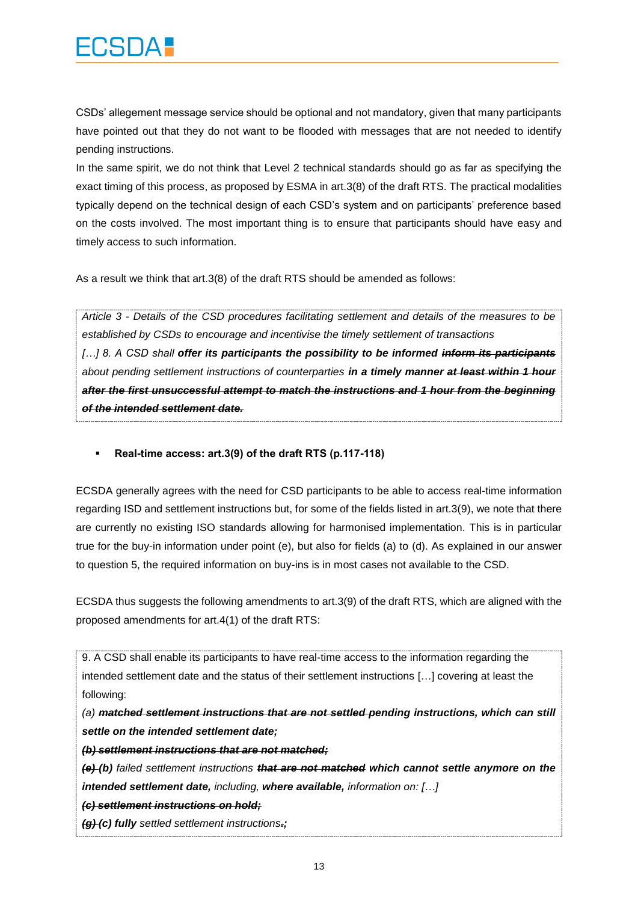CSDs' allegement message service should be optional and not mandatory, given that many participants have pointed out that they do not want to be flooded with messages that are not needed to identify pending instructions.

In the same spirit, we do not think that Level 2 technical standards should go as far as specifying the exact timing of this process, as proposed by ESMA in art.3(8) of the draft RTS. The practical modalities typically depend on the technical design of each CSD's system and on participants' preference based on the costs involved. The most important thing is to ensure that participants should have easy and timely access to such information.

As a result we think that art.3(8) of the draft RTS should be amended as follows:

*Article 3 - Details of the CSD procedures facilitating settlement and details of the measures to be established by CSDs to encourage and incentivise the timely settlement of transactions […] 8. A CSD shall offer its participants the possibility to be informed inform its participants about pending settlement instructions of counterparties in a timely manner at least within 1 hour after the first unsuccessful attempt to match the instructions and 1 hour from the beginning of the intended settlement date.*

**Real-time access: art.3(9) of the draft RTS (p.117-118)**

ECSDA generally agrees with the need for CSD participants to be able to access real-time information regarding ISD and settlement instructions but, for some of the fields listed in art.3(9), we note that there are currently no existing ISO standards allowing for harmonised implementation. This is in particular true for the buy-in information under point (e), but also for fields (a) to (d). As explained in our answer to question 5, the required information on buy-ins is in most cases not available to the CSD.

ECSDA thus suggests the following amendments to art.3(9) of the draft RTS, which are aligned with the proposed amendments for art.4(1) of the draft RTS:

9. A CSD shall enable its participants to have real-time access to the information regarding the intended settlement date and the status of their settlement instructions […] covering at least the following:

*(a) matched settlement instructions that are not settled pending instructions, which can still settle on the intended settlement date;*

*(b) settlement instructions that are not matched;*

*(e) (b) failed settlement instructions that are not matched which cannot settle anymore on the intended settlement date, including, where available, information on: […]*

*(c) settlement instructions on hold;*

*(g) (c) fully settled settlement instructions.;*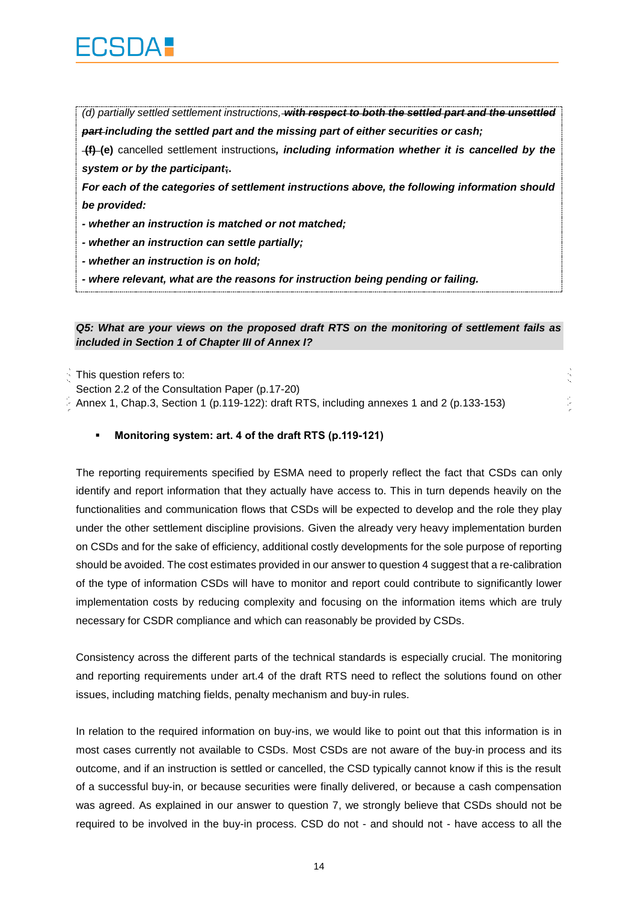

*(d) partially settled settlement instructions, with respect to both the settled part and the unsettled part including the settled part and the missing part of either securities or cash;*

**(f) (e)** cancelled settlement instructions*, including information whether it is cancelled by the system or by the participant***;.**

*For each of the categories of settlement instructions above, the following information should be provided:* 

*- whether an instruction is matched or not matched;* 

*- whether an instruction can settle partially;* 

*- whether an instruction is on hold;* 

*- where relevant, what are the reasons for instruction being pending or failing.*

#### *Q5: What are your views on the proposed draft RTS on the monitoring of settlement fails as included in Section 1 of Chapter III of Annex I?*

This question refers to:

Section 2.2 of the Consultation Paper (p.17-20)

Annex 1, Chap.3, Section 1 (p.119-122): draft RTS, including annexes 1 and 2 (p.133-153)

#### **Monitoring system: art. 4 of the draft RTS (p.119-121)**

The reporting requirements specified by ESMA need to properly reflect the fact that CSDs can only identify and report information that they actually have access to. This in turn depends heavily on the functionalities and communication flows that CSDs will be expected to develop and the role they play under the other settlement discipline provisions. Given the already very heavy implementation burden on CSDs and for the sake of efficiency, additional costly developments for the sole purpose of reporting should be avoided. The cost estimates provided in our answer to question 4 suggest that a re-calibration of the type of information CSDs will have to monitor and report could contribute to significantly lower implementation costs by reducing complexity and focusing on the information items which are truly necessary for CSDR compliance and which can reasonably be provided by CSDs.

Consistency across the different parts of the technical standards is especially crucial. The monitoring and reporting requirements under art.4 of the draft RTS need to reflect the solutions found on other issues, including matching fields, penalty mechanism and buy-in rules.

In relation to the required information on buy-ins, we would like to point out that this information is in most cases currently not available to CSDs. Most CSDs are not aware of the buy-in process and its outcome, and if an instruction is settled or cancelled, the CSD typically cannot know if this is the result of a successful buy-in, or because securities were finally delivered, or because a cash compensation was agreed. As explained in our answer to question 7, we strongly believe that CSDs should not be required to be involved in the buy-in process. CSD do not - and should not - have access to all the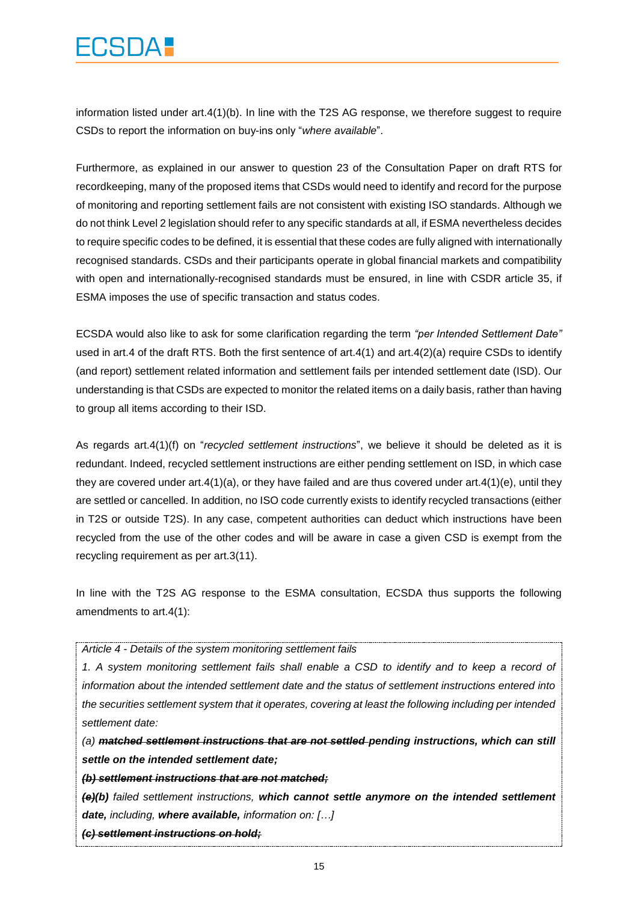## **CONTECT**

information listed under art.4(1)(b). In line with the T2S AG response, we therefore suggest to require CSDs to report the information on buy-ins only "*where available*".

Furthermore, as explained in our answer to question 23 of the Consultation Paper on draft RTS for recordkeeping, many of the proposed items that CSDs would need to identify and record for the purpose of monitoring and reporting settlement fails are not consistent with existing ISO standards. Although we do not think Level 2 legislation should refer to any specific standards at all, if ESMA nevertheless decides to require specific codes to be defined, it is essential that these codes are fully aligned with internationally recognised standards. CSDs and their participants operate in global financial markets and compatibility with open and internationally-recognised standards must be ensured, in line with CSDR article 35, if ESMA imposes the use of specific transaction and status codes.

ECSDA would also like to ask for some clarification regarding the term *"per Intended Settlement Date"*  used in art.4 of the draft RTS. Both the first sentence of art.4(1) and art.4(2)(a) require CSDs to identify (and report) settlement related information and settlement fails per intended settlement date (ISD). Our understanding is that CSDs are expected to monitor the related items on a daily basis, rather than having to group all items according to their ISD.

As regards art.4(1)(f) on "*recycled settlement instructions*", we believe it should be deleted as it is redundant. Indeed, recycled settlement instructions are either pending settlement on ISD, in which case they are covered under art.4(1)(a), or they have failed and are thus covered under art.4(1)(e), until they are settled or cancelled. In addition, no ISO code currently exists to identify recycled transactions (either in T2S or outside T2S). In any case, competent authorities can deduct which instructions have been recycled from the use of the other codes and will be aware in case a given CSD is exempt from the recycling requirement as per art.3(11).

In line with the T2S AG response to the ESMA consultation, ECSDA thus supports the following amendments to art.4(1):

*Article 4 - Details of the system monitoring settlement fails*

*1. A system monitoring settlement fails shall enable a CSD to identify and to keep a record of information about the intended settlement date and the status of settlement instructions entered into the securities settlement system that it operates, covering at least the following including per intended settlement date:*

*(a) matched settlement instructions that are not settled pending instructions, which can still settle on the intended settlement date;*

*(b) settlement instructions that are not matched;*

*(e)(b) failed settlement instructions, which cannot settle anymore on the intended settlement date, including, where available, information on: […]*

*(c) settlement instructions on hold;*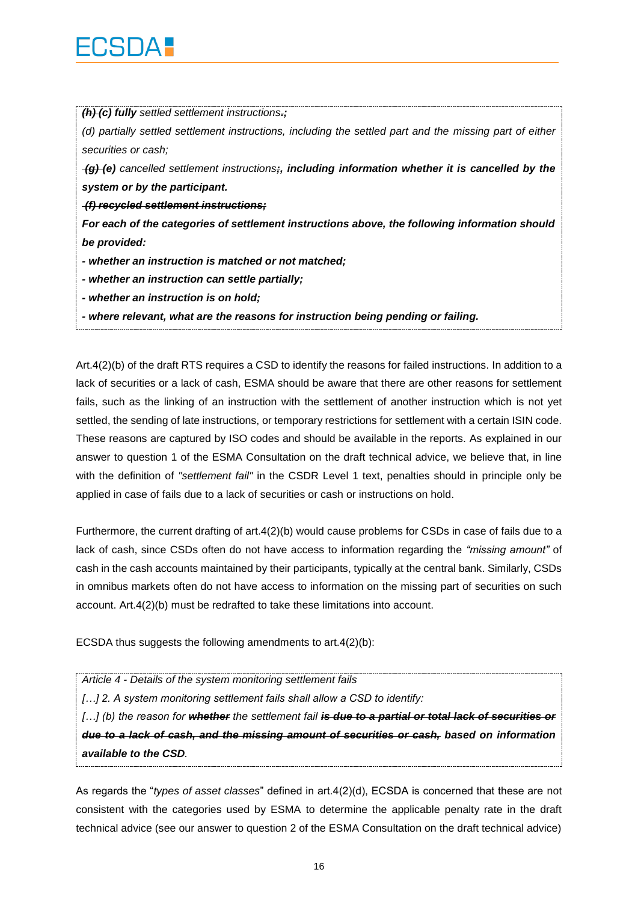*(h) (c) fully settled settlement instructions.;*

*(d) partially settled settlement instructions, including the settled part and the missing part of either securities or cash;*

*(g) (e) cancelled settlement instructions;, including information whether it is cancelled by the system or by the participant.*

*(f) recycled settlement instructions;*

*For each of the categories of settlement instructions above, the following information should be provided:* 

- *- whether an instruction is matched or not matched;*
- *- whether an instruction can settle partially;*
- *- whether an instruction is on hold;*

*- where relevant, what are the reasons for instruction being pending or failing.*

Art.4(2)(b) of the draft RTS requires a CSD to identify the reasons for failed instructions. In addition to a lack of securities or a lack of cash, ESMA should be aware that there are other reasons for settlement fails, such as the linking of an instruction with the settlement of another instruction which is not yet settled, the sending of late instructions, or temporary restrictions for settlement with a certain ISIN code. These reasons are captured by ISO codes and should be available in the reports. As explained in our answer to question 1 of the ESMA Consultation on the draft technical advice, we believe that, in line with the definition of *"settlement fail"* in the CSDR Level 1 text, penalties should in principle only be applied in case of fails due to a lack of securities or cash or instructions on hold.

Furthermore, the current drafting of art.4(2)(b) would cause problems for CSDs in case of fails due to a lack of cash, since CSDs often do not have access to information regarding the *"missing amount"* of cash in the cash accounts maintained by their participants, typically at the central bank. Similarly, CSDs in omnibus markets often do not have access to information on the missing part of securities on such account. Art.4(2)(b) must be redrafted to take these limitations into account.

ECSDA thus suggests the following amendments to art.4(2)(b):

*Article 4 - Details of the system monitoring settlement fails*

*[…] 2. A system monitoring settlement fails shall allow a CSD to identify:*

[...] (b) the reason for whether the settlement fail is due to a partial or total lack of securities or *due to a lack of cash, and the missing amount of securities or cash, based on information available to the CSD.*

As regards the "*types of asset classes*" defined in art.4(2)(d), ECSDA is concerned that these are not consistent with the categories used by ESMA to determine the applicable penalty rate in the draft technical advice (see our answer to question 2 of the ESMA Consultation on the draft technical advice)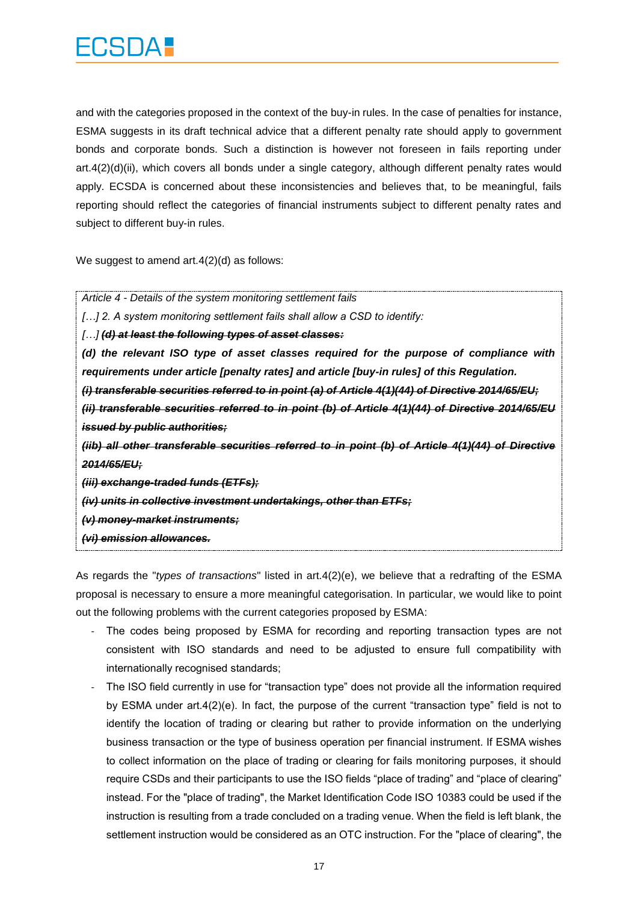and with the categories proposed in the context of the buy-in rules. In the case of penalties for instance, ESMA suggests in its draft technical advice that a different penalty rate should apply to government bonds and corporate bonds. Such a distinction is however not foreseen in fails reporting under art.4(2)(d)(ii), which covers all bonds under a single category, although different penalty rates would apply. ECSDA is concerned about these inconsistencies and believes that, to be meaningful, fails reporting should reflect the categories of financial instruments subject to different penalty rates and subject to different buy-in rules.

We suggest to amend art.4(2)(d) as follows:

*Article 4 - Details of the system monitoring settlement fails […] 2. A system monitoring settlement fails shall allow a CSD to identify: […] (d) at least the following types of asset classes: (d) the relevant ISO type of asset classes required for the purpose of compliance with requirements under article [penalty rates] and article [buy-in rules] of this Regulation. (i) transferable securities referred to in point (a) of Article 4(1)(44) of Directive 2014/65/EU; (ii) transferable securities referred to in point (b) of Article 4(1)(44) of Directive 2014/65/EU issued by public authorities; (iib) all other transferable securities referred to in point (b) of Article 4(1)(44) of Directive 2014/65/EU; (iii) exchange-traded funds (ETFs); (iv) units in collective investment undertakings, other than ETFs; (v) money-market instruments; (vi) emission allowances.*

As regards the "*types of transactions*" listed in art.4(2)(e), we believe that a redrafting of the ESMA proposal is necessary to ensure a more meaningful categorisation. In particular, we would like to point out the following problems with the current categories proposed by ESMA:

- The codes being proposed by ESMA for recording and reporting transaction types are not consistent with ISO standards and need to be adjusted to ensure full compatibility with internationally recognised standards;
- The ISO field currently in use for "transaction type" does not provide all the information required by ESMA under art.4(2)(e). In fact, the purpose of the current "transaction type" field is not to identify the location of trading or clearing but rather to provide information on the underlying business transaction or the type of business operation per financial instrument. If ESMA wishes to collect information on the place of trading or clearing for fails monitoring purposes, it should require CSDs and their participants to use the ISO fields "place of trading" and "place of clearing" instead. For the "place of trading", the Market Identification Code ISO 10383 could be used if the instruction is resulting from a trade concluded on a trading venue. When the field is left blank, the settlement instruction would be considered as an OTC instruction. For the "place of clearing", the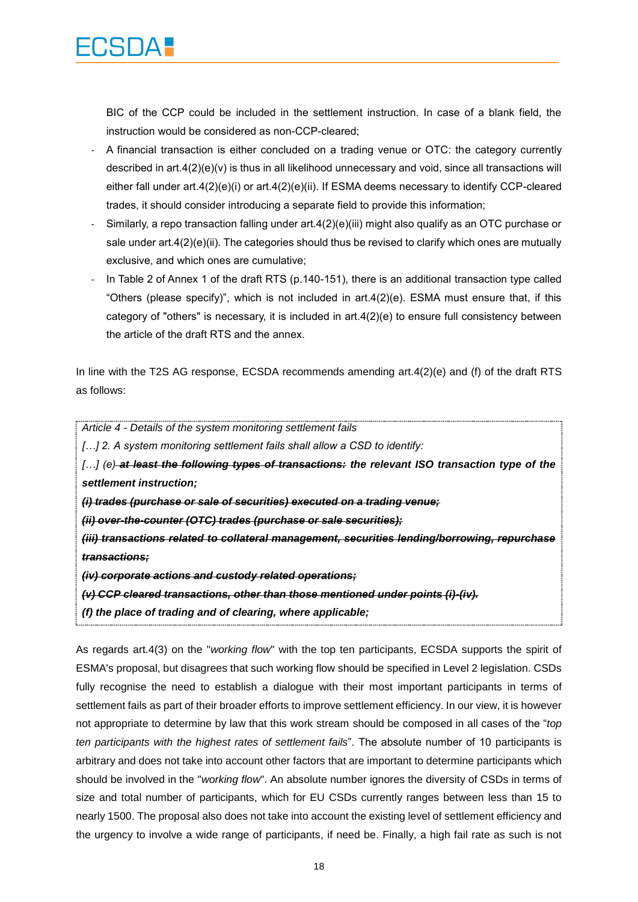

BIC of the CCP could be included in the settlement instruction. In case of a blank field, the instruction would be considered as non-CCP-cleared;

- A financial transaction is either concluded on a trading venue or OTC: the category currently described in art.4(2)(e)(v) is thus in all likelihood unnecessary and void, since all transactions will either fall under art.4(2)(e)(i) or art.4(2)(e)(ii). If ESMA deems necessary to identify CCP-cleared trades, it should consider introducing a separate field to provide this information;
- Similarly, a repo transaction falling under art.4(2)(e)(iii) might also qualify as an OTC purchase or sale under  $art.4(2)(e)(ii)$ . The categories should thus be revised to clarify which ones are mutually exclusive, and which ones are cumulative;
- In Table 2 of Annex 1 of the draft RTS (p.140-151), there is an additional transaction type called "Others (please specify)", which is not included in  $art.4(2)(e)$ . ESMA must ensure that, if this category of "others" is necessary, it is included in art.4(2)(e) to ensure full consistency between the article of the draft RTS and the annex.

In line with the T2S AG response, ECSDA recommends amending art.4(2)(e) and (f) of the draft RTS as follows:

*Article 4 - Details of the system monitoring settlement fails*

*[…] 2. A system monitoring settlement fails shall allow a CSD to identify:*

*[…] (e) at least the following types of transactions: the relevant ISO transaction type of the settlement instruction;*

*(i) trades (purchase or sale of securities) executed on a trading venue;*

*(ii) over-the-counter (OTC) trades (purchase or sale securities);*

*(iii) transactions related to collateral management, securities lending/borrowing, repurchase transactions;*

*(iv) corporate actions and custody related operations;*

*(v) CCP cleared transactions, other than those mentioned under points (i)-(iv).*

*(f) the place of trading and of clearing, where applicable;*

As regards art.4(3) on the "*working flow*" with the top ten participants, ECSDA supports the spirit of ESMA's proposal, but disagrees that such working flow should be specified in Level 2 legislation. CSDs fully recognise the need to establish a dialogue with their most important participants in terms of settlement fails as part of their broader efforts to improve settlement efficiency. In our view, it is however not appropriate to determine by law that this work stream should be composed in all cases of the "*top ten participants with the highest rates of settlement fails*". The absolute number of 10 participants is arbitrary and does not take into account other factors that are important to determine participants which should be involved in the "*working flow*". An absolute number ignores the diversity of CSDs in terms of size and total number of participants, which for EU CSDs currently ranges between less than 15 to nearly 1500. The proposal also does not take into account the existing level of settlement efficiency and the urgency to involve a wide range of participants, if need be. Finally, a high fail rate as such is not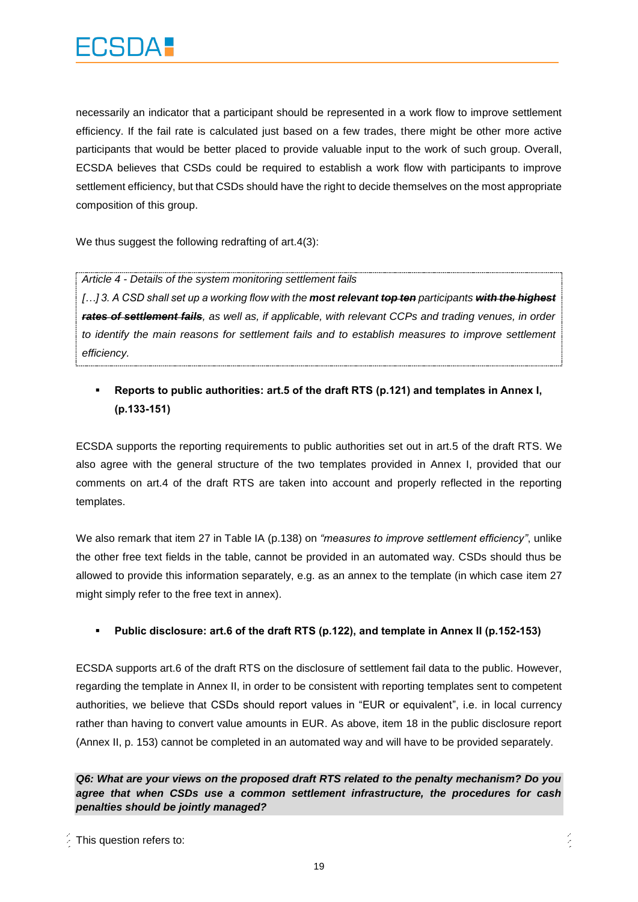necessarily an indicator that a participant should be represented in a work flow to improve settlement efficiency. If the fail rate is calculated just based on a few trades, there might be other more active participants that would be better placed to provide valuable input to the work of such group. Overall, ECSDA believes that CSDs could be required to establish a work flow with participants to improve settlement efficiency, but that CSDs should have the right to decide themselves on the most appropriate composition of this group.

We thus suggest the following redrafting of art.4(3):

*Article 4 - Details of the system monitoring settlement fails*

*[…] 3. A CSD shall set up a working flow with the most relevant top ten participants with the highest rates of settlement fails, as well as, if applicable, with relevant CCPs and trading venues, in order*  to identify the main reasons for settlement fails and to establish measures to improve settlement *efficiency.*

### **Reports to public authorities: art.5 of the draft RTS (p.121) and templates in Annex I, (p.133-151)**

ECSDA supports the reporting requirements to public authorities set out in art.5 of the draft RTS. We also agree with the general structure of the two templates provided in Annex I, provided that our comments on art.4 of the draft RTS are taken into account and properly reflected in the reporting templates.

We also remark that item 27 in Table IA (p.138) on *"measures to improve settlement efficiency"*, unlike the other free text fields in the table, cannot be provided in an automated way. CSDs should thus be allowed to provide this information separately, e.g. as an annex to the template (in which case item 27 might simply refer to the free text in annex).

#### **Public disclosure: art.6 of the draft RTS (p.122), and template in Annex II (p.152-153)**

ECSDA supports art.6 of the draft RTS on the disclosure of settlement fail data to the public. However, regarding the template in Annex II, in order to be consistent with reporting templates sent to competent authorities, we believe that CSDs should report values in "EUR or equivalent", i.e. in local currency rather than having to convert value amounts in EUR. As above, item 18 in the public disclosure report (Annex II, p. 153) cannot be completed in an automated way and will have to be provided separately.

#### *Q6: What are your views on the proposed draft RTS related to the penalty mechanism? Do you agree that when CSDs use a common settlement infrastructure, the procedures for cash penalties should be jointly managed?*

A.

This question refers to: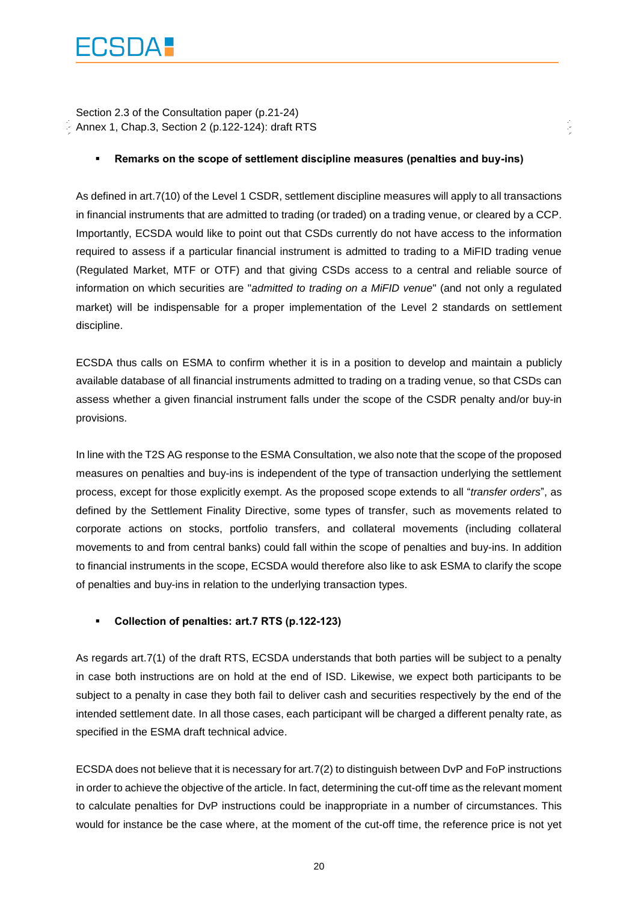Section 2.3 of the Consultation paper (p.21-24)  $\sim$  Annex 1, Chap.3, Section 2 (p.122-124): draft RTS

#### **Remarks on the scope of settlement discipline measures (penalties and buy-ins)**

As defined in art.7(10) of the Level 1 CSDR, settlement discipline measures will apply to all transactions in financial instruments that are admitted to trading (or traded) on a trading venue, or cleared by a CCP. Importantly, ECSDA would like to point out that CSDs currently do not have access to the information required to assess if a particular financial instrument is admitted to trading to a MiFID trading venue (Regulated Market, MTF or OTF) and that giving CSDs access to a central and reliable source of information on which securities are "*admitted to trading on a MiFID venue*" (and not only a regulated market) will be indispensable for a proper implementation of the Level 2 standards on settlement discipline.

ECSDA thus calls on ESMA to confirm whether it is in a position to develop and maintain a publicly available database of all financial instruments admitted to trading on a trading venue, so that CSDs can assess whether a given financial instrument falls under the scope of the CSDR penalty and/or buy-in provisions.

In line with the T2S AG response to the ESMA Consultation, we also note that the scope of the proposed measures on penalties and buy-ins is independent of the type of transaction underlying the settlement process, except for those explicitly exempt. As the proposed scope extends to all "*transfer orders*", as defined by the Settlement Finality Directive, some types of transfer, such as movements related to corporate actions on stocks, portfolio transfers, and collateral movements (including collateral movements to and from central banks) could fall within the scope of penalties and buy-ins. In addition to financial instruments in the scope, ECSDA would therefore also like to ask ESMA to clarify the scope of penalties and buy-ins in relation to the underlying transaction types.

#### **Collection of penalties: art.7 RTS (p.122-123)**

As regards art.7(1) of the draft RTS, ECSDA understands that both parties will be subject to a penalty in case both instructions are on hold at the end of ISD. Likewise, we expect both participants to be subject to a penalty in case they both fail to deliver cash and securities respectively by the end of the intended settlement date. In all those cases, each participant will be charged a different penalty rate, as specified in the ESMA draft technical advice.

ECSDA does not believe that it is necessary for art.7(2) to distinguish between DvP and FoP instructions in order to achieve the objective of the article. In fact, determining the cut-off time as the relevant moment to calculate penalties for DvP instructions could be inappropriate in a number of circumstances. This would for instance be the case where, at the moment of the cut-off time, the reference price is not yet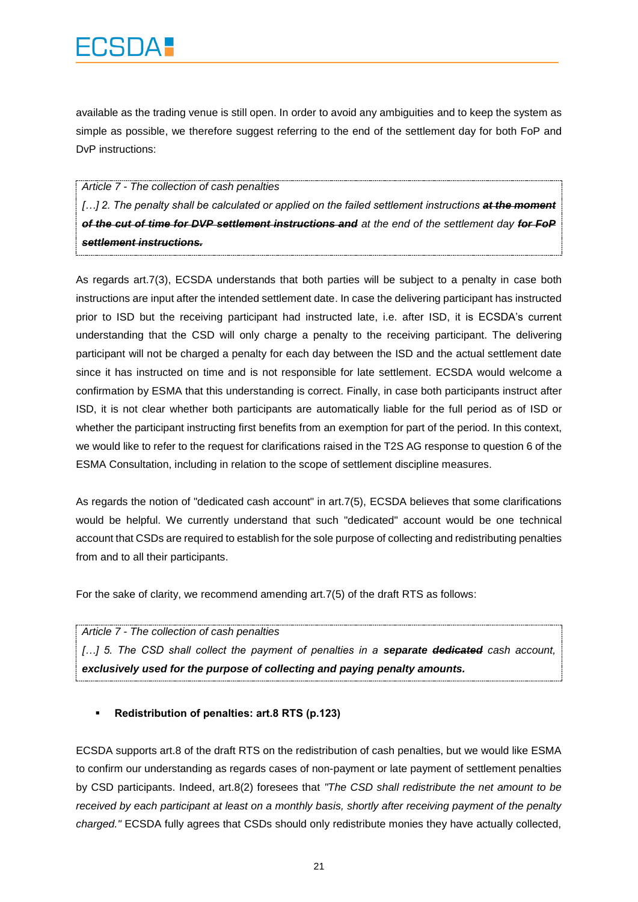available as the trading venue is still open. In order to avoid any ambiguities and to keep the system as simple as possible, we therefore suggest referring to the end of the settlement day for both FoP and DvP instructions:

#### *Article 7 - The collection of cash penalties*

[...] 2. The penalty shall be calculated or applied on the failed settlement instructions at the moment *of the cut of time for DVP settlement instructions and at the end of the settlement day for FoP settlement instructions.*

As regards art.7(3), ECSDA understands that both parties will be subject to a penalty in case both instructions are input after the intended settlement date. In case the delivering participant has instructed prior to ISD but the receiving participant had instructed late, i.e. after ISD, it is ECSDA's current understanding that the CSD will only charge a penalty to the receiving participant. The delivering participant will not be charged a penalty for each day between the ISD and the actual settlement date since it has instructed on time and is not responsible for late settlement. ECSDA would welcome a confirmation by ESMA that this understanding is correct. Finally, in case both participants instruct after ISD, it is not clear whether both participants are automatically liable for the full period as of ISD or whether the participant instructing first benefits from an exemption for part of the period. In this context, we would like to refer to the request for clarifications raised in the T2S AG response to question 6 of the ESMA Consultation, including in relation to the scope of settlement discipline measures.

As regards the notion of "dedicated cash account" in art.7(5), ECSDA believes that some clarifications would be helpful. We currently understand that such "dedicated" account would be one technical account that CSDs are required to establish for the sole purpose of collecting and redistributing penalties from and to all their participants.

For the sake of clarity, we recommend amending art.7(5) of the draft RTS as follows:

#### *Article 7 - The collection of cash penalties*

*[…] 5. The CSD shall collect the payment of penalties in a separate dedicated cash account, exclusively used for the purpose of collecting and paying penalty amounts.*

#### **Redistribution of penalties: art.8 RTS (p.123)**

ECSDA supports art.8 of the draft RTS on the redistribution of cash penalties, but we would like ESMA to confirm our understanding as regards cases of non-payment or late payment of settlement penalties by CSD participants. Indeed, art.8(2) foresees that *"The CSD shall redistribute the net amount to be received by each participant at least on a monthly basis, shortly after receiving payment of the penalty charged."* ECSDA fully agrees that CSDs should only redistribute monies they have actually collected,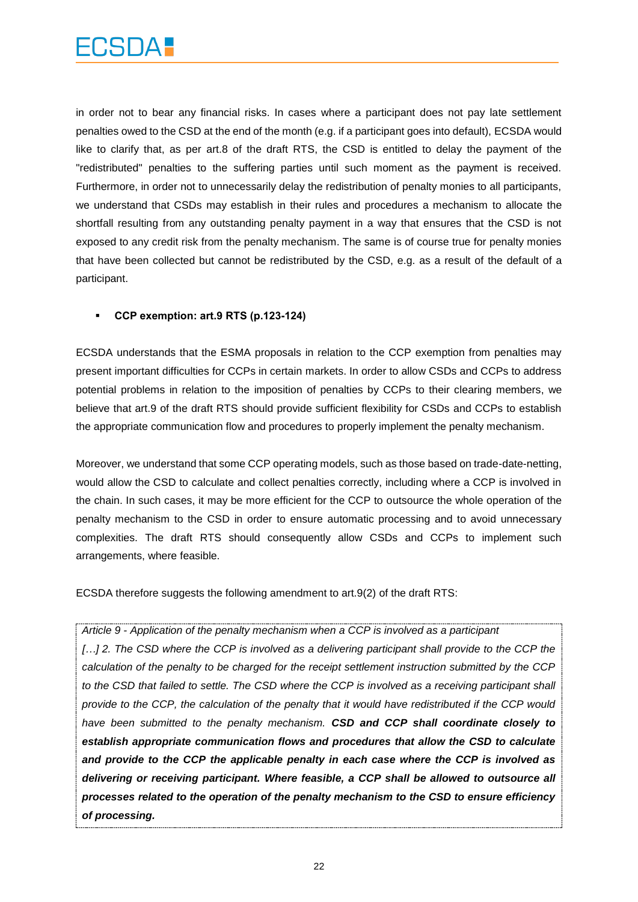in order not to bear any financial risks. In cases where a participant does not pay late settlement penalties owed to the CSD at the end of the month (e.g. if a participant goes into default), ECSDA would like to clarify that, as per art.8 of the draft RTS, the CSD is entitled to delay the payment of the "redistributed" penalties to the suffering parties until such moment as the payment is received. Furthermore, in order not to unnecessarily delay the redistribution of penalty monies to all participants, we understand that CSDs may establish in their rules and procedures a mechanism to allocate the shortfall resulting from any outstanding penalty payment in a way that ensures that the CSD is not exposed to any credit risk from the penalty mechanism. The same is of course true for penalty monies that have been collected but cannot be redistributed by the CSD, e.g. as a result of the default of a participant.

#### **CCP exemption: art.9 RTS (p.123-124)**

ECSDA understands that the ESMA proposals in relation to the CCP exemption from penalties may present important difficulties for CCPs in certain markets. In order to allow CSDs and CCPs to address potential problems in relation to the imposition of penalties by CCPs to their clearing members, we believe that art.9 of the draft RTS should provide sufficient flexibility for CSDs and CCPs to establish the appropriate communication flow and procedures to properly implement the penalty mechanism.

Moreover, we understand that some CCP operating models, such as those based on trade-date-netting, would allow the CSD to calculate and collect penalties correctly, including where a CCP is involved in the chain. In such cases, it may be more efficient for the CCP to outsource the whole operation of the penalty mechanism to the CSD in order to ensure automatic processing and to avoid unnecessary complexities. The draft RTS should consequently allow CSDs and CCPs to implement such arrangements, where feasible.

ECSDA therefore suggests the following amendment to art.9(2) of the draft RTS:

*Article 9 - Application of the penalty mechanism when a CCP is involved as a participant* [...] 2. The CSD where the CCP is involved as a delivering participant shall provide to the CCP the *calculation of the penalty to be charged for the receipt settlement instruction submitted by the CCP to the CSD that failed to settle. The CSD where the CCP is involved as a receiving participant shall provide to the CCP, the calculation of the penalty that it would have redistributed if the CCP would have been submitted to the penalty mechanism. CSD and CCP shall coordinate closely to establish appropriate communication flows and procedures that allow the CSD to calculate and provide to the CCP the applicable penalty in each case where the CCP is involved as delivering or receiving participant. Where feasible, a CCP shall be allowed to outsource all processes related to the operation of the penalty mechanism to the CSD to ensure efficiency of processing.*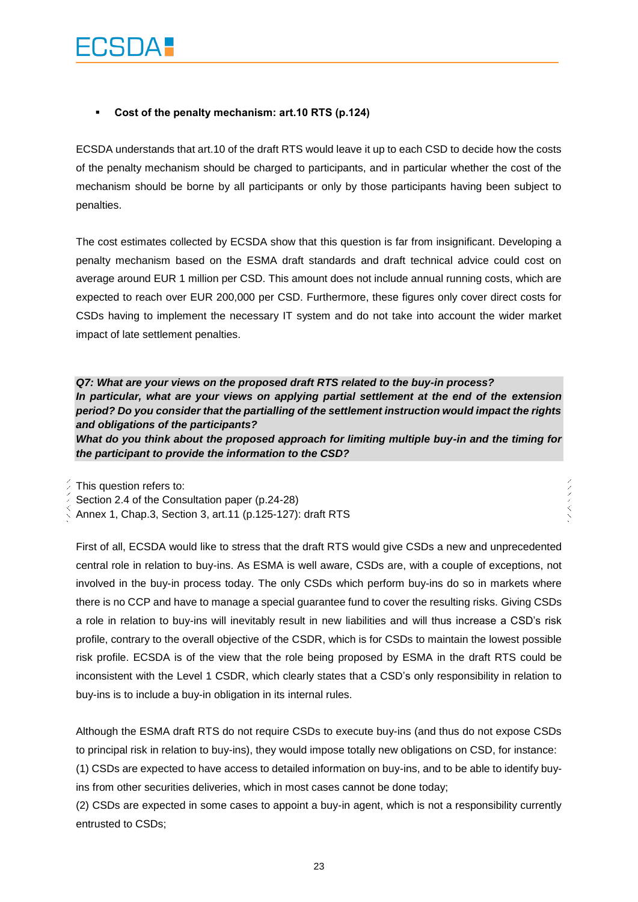#### **Cost of the penalty mechanism: art.10 RTS (p.124)**

ECSDA understands that art.10 of the draft RTS would leave it up to each CSD to decide how the costs of the penalty mechanism should be charged to participants, and in particular whether the cost of the mechanism should be borne by all participants or only by those participants having been subject to penalties.

The cost estimates collected by ECSDA show that this question is far from insignificant. Developing a penalty mechanism based on the ESMA draft standards and draft technical advice could cost on average around EUR 1 million per CSD. This amount does not include annual running costs, which are expected to reach over EUR 200,000 per CSD. Furthermore, these figures only cover direct costs for CSDs having to implement the necessary IT system and do not take into account the wider market impact of late settlement penalties.

*Q7: What are your views on the proposed draft RTS related to the buy-in process? In particular, what are your views on applying partial settlement at the end of the extension period? Do you consider that the partialling of the settlement instruction would impact the rights and obligations of the participants?*

*What do you think about the proposed approach for limiting multiple buy-in and the timing for the participant to provide the information to the CSD?*

ノベリス

This question refers to:

Section 2.4 of the Consultation paper (p.24-28)

Annex 1, Chap.3, Section 3, art.11 (p.125-127): draft RTS

First of all, ECSDA would like to stress that the draft RTS would give CSDs a new and unprecedented central role in relation to buy-ins. As ESMA is well aware, CSDs are, with a couple of exceptions, not involved in the buy-in process today. The only CSDs which perform buy-ins do so in markets where there is no CCP and have to manage a special guarantee fund to cover the resulting risks. Giving CSDs a role in relation to buy-ins will inevitably result in new liabilities and will thus increase a CSD's risk profile, contrary to the overall objective of the CSDR, which is for CSDs to maintain the lowest possible risk profile. ECSDA is of the view that the role being proposed by ESMA in the draft RTS could be inconsistent with the Level 1 CSDR, which clearly states that a CSD's only responsibility in relation to buy-ins is to include a buy-in obligation in its internal rules.

Although the ESMA draft RTS do not require CSDs to execute buy-ins (and thus do not expose CSDs to principal risk in relation to buy-ins), they would impose totally new obligations on CSD, for instance:

(1) CSDs are expected to have access to detailed information on buy-ins, and to be able to identify buyins from other securities deliveries, which in most cases cannot be done today;

(2) CSDs are expected in some cases to appoint a buy-in agent, which is not a responsibility currently entrusted to CSDs;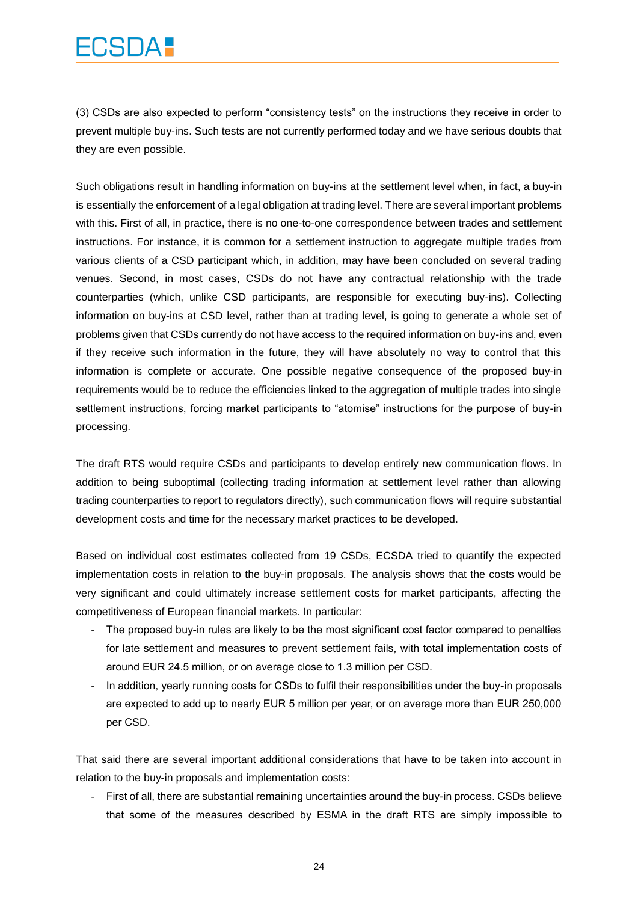## FCSDA :

(3) CSDs are also expected to perform "consistency tests" on the instructions they receive in order to prevent multiple buy-ins. Such tests are not currently performed today and we have serious doubts that they are even possible.

Such obligations result in handling information on buy-ins at the settlement level when, in fact, a buy-in is essentially the enforcement of a legal obligation at trading level. There are several important problems with this. First of all, in practice, there is no one-to-one correspondence between trades and settlement instructions. For instance, it is common for a settlement instruction to aggregate multiple trades from various clients of a CSD participant which, in addition, may have been concluded on several trading venues. Second, in most cases, CSDs do not have any contractual relationship with the trade counterparties (which, unlike CSD participants, are responsible for executing buy-ins). Collecting information on buy-ins at CSD level, rather than at trading level, is going to generate a whole set of problems given that CSDs currently do not have access to the required information on buy-ins and, even if they receive such information in the future, they will have absolutely no way to control that this information is complete or accurate. One possible negative consequence of the proposed buy-in requirements would be to reduce the efficiencies linked to the aggregation of multiple trades into single settlement instructions, forcing market participants to "atomise" instructions for the purpose of buy-in processing.

The draft RTS would require CSDs and participants to develop entirely new communication flows. In addition to being suboptimal (collecting trading information at settlement level rather than allowing trading counterparties to report to regulators directly), such communication flows will require substantial development costs and time for the necessary market practices to be developed.

Based on individual cost estimates collected from 19 CSDs, ECSDA tried to quantify the expected implementation costs in relation to the buy-in proposals. The analysis shows that the costs would be very significant and could ultimately increase settlement costs for market participants, affecting the competitiveness of European financial markets. In particular:

- The proposed buy-in rules are likely to be the most significant cost factor compared to penalties for late settlement and measures to prevent settlement fails, with total implementation costs of around EUR 24.5 million, or on average close to 1.3 million per CSD.
- In addition, yearly running costs for CSDs to fulfil their responsibilities under the buy-in proposals are expected to add up to nearly EUR 5 million per year, or on average more than EUR 250,000 per CSD.

That said there are several important additional considerations that have to be taken into account in relation to the buy-in proposals and implementation costs:

- First of all, there are substantial remaining uncertainties around the buy-in process. CSDs believe that some of the measures described by ESMA in the draft RTS are simply impossible to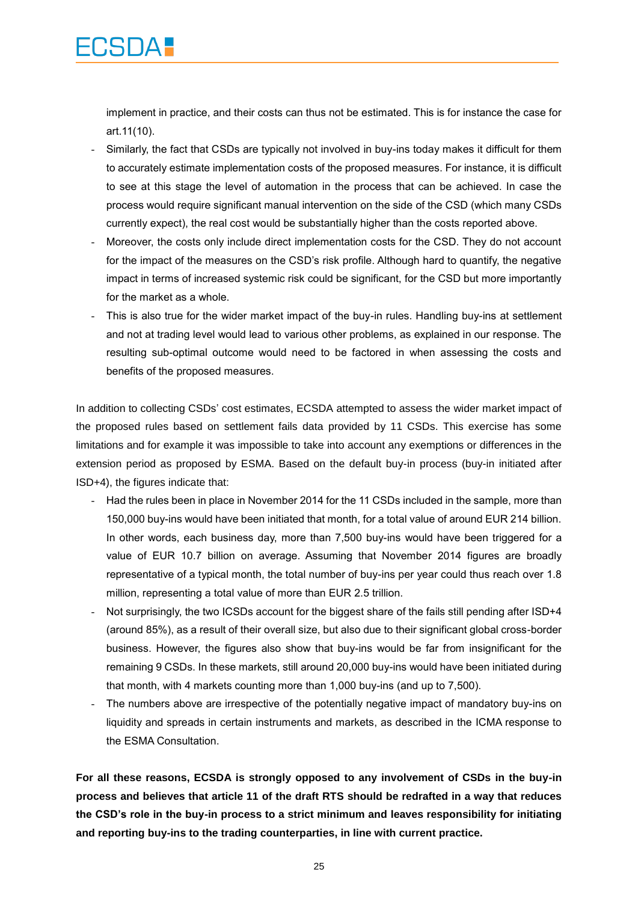implement in practice, and their costs can thus not be estimated. This is for instance the case for art.11(10).

**CSIDA.** 

- Similarly, the fact that CSDs are typically not involved in buy-ins today makes it difficult for them to accurately estimate implementation costs of the proposed measures. For instance, it is difficult to see at this stage the level of automation in the process that can be achieved. In case the process would require significant manual intervention on the side of the CSD (which many CSDs currently expect), the real cost would be substantially higher than the costs reported above.
- Moreover, the costs only include direct implementation costs for the CSD. They do not account for the impact of the measures on the CSD's risk profile. Although hard to quantify, the negative impact in terms of increased systemic risk could be significant, for the CSD but more importantly for the market as a whole.
- This is also true for the wider market impact of the buy-in rules. Handling buy-ins at settlement and not at trading level would lead to various other problems, as explained in our response. The resulting sub-optimal outcome would need to be factored in when assessing the costs and benefits of the proposed measures.

In addition to collecting CSDs' cost estimates, ECSDA attempted to assess the wider market impact of the proposed rules based on settlement fails data provided by 11 CSDs. This exercise has some limitations and for example it was impossible to take into account any exemptions or differences in the extension period as proposed by ESMA. Based on the default buy-in process (buy-in initiated after ISD+4), the figures indicate that:

- Had the rules been in place in November 2014 for the 11 CSDs included in the sample, more than 150,000 buy-ins would have been initiated that month, for a total value of around EUR 214 billion. In other words, each business day, more than 7,500 buy-ins would have been triggered for a value of EUR 10.7 billion on average. Assuming that November 2014 figures are broadly representative of a typical month, the total number of buy-ins per year could thus reach over 1.8 million, representing a total value of more than EUR 2.5 trillion.
- Not surprisingly, the two ICSDs account for the biggest share of the fails still pending after ISD+4 (around 85%), as a result of their overall size, but also due to their significant global cross-border business. However, the figures also show that buy-ins would be far from insignificant for the remaining 9 CSDs. In these markets, still around 20,000 buy-ins would have been initiated during that month, with 4 markets counting more than 1,000 buy-ins (and up to 7,500).
- The numbers above are irrespective of the potentially negative impact of mandatory buy-ins on liquidity and spreads in certain instruments and markets, as described in the ICMA response to the ESMA Consultation.

**For all these reasons, ECSDA is strongly opposed to any involvement of CSDs in the buy-in process and believes that article 11 of the draft RTS should be redrafted in a way that reduces the CSD's role in the buy-in process to a strict minimum and leaves responsibility for initiating and reporting buy-ins to the trading counterparties, in line with current practice.**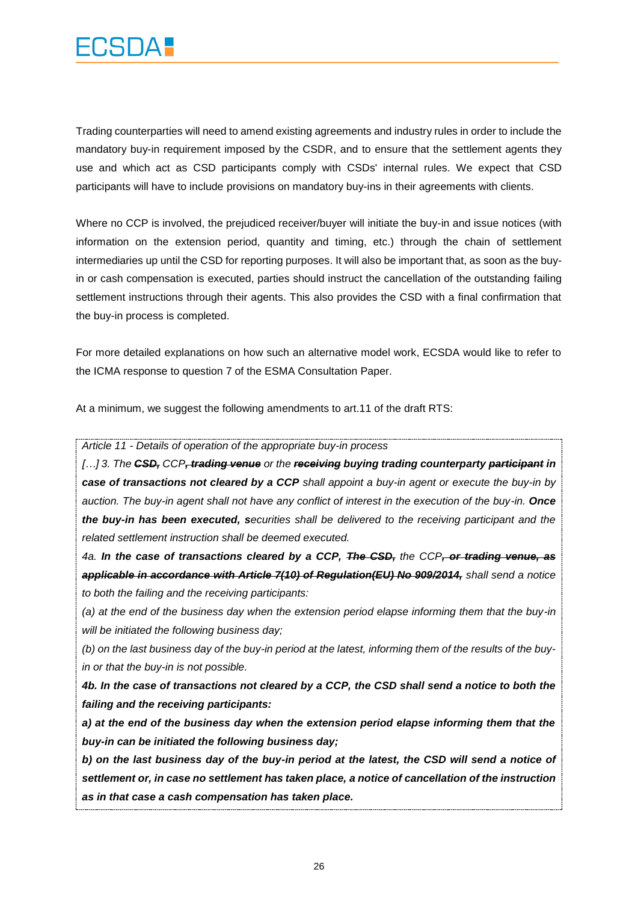

Trading counterparties will need to amend existing agreements and industry rules in order to include the mandatory buy-in requirement imposed by the CSDR, and to ensure that the settlement agents they use and which act as CSD participants comply with CSDs' internal rules. We expect that CSD participants will have to include provisions on mandatory buy-ins in their agreements with clients.

Where no CCP is involved, the prejudiced receiver/buyer will initiate the buy-in and issue notices (with information on the extension period, quantity and timing, etc.) through the chain of settlement intermediaries up until the CSD for reporting purposes. It will also be important that, as soon as the buyin or cash compensation is executed, parties should instruct the cancellation of the outstanding failing settlement instructions through their agents. This also provides the CSD with a final confirmation that the buy-in process is completed.

For more detailed explanations on how such an alternative model work, ECSDA would like to refer to the ICMA response to question 7 of the ESMA Consultation Paper.

At a minimum, we suggest the following amendments to art.11 of the draft RTS:

*Article 11 - Details of operation of the appropriate buy-in process* 

*[…] 3. The CSD, CCP, trading venue or the receiving buying trading counterparty participant in case of transactions not cleared by a CCP shall appoint a buy-in agent or execute the buy-in by auction. The buy-in agent shall not have any conflict of interest in the execution of the buy-in. Once the buy-in has been executed, securities shall be delivered to the receiving participant and the related settlement instruction shall be deemed executed.*

*4a. In the case of transactions cleared by a CCP, The CSD, the CCP, or trading venue, as applicable in accordance with Article 7(10) of Regulation(EU) No 909/2014, shall send a notice to both the failing and the receiving participants:*

*(a) at the end of the business day when the extension period elapse informing them that the buy-in will be initiated the following business day;*

*(b) on the last business day of the buy-in period at the latest, informing them of the results of the buyin or that the buy-in is not possible.*

*4b. In the case of transactions not cleared by a CCP, the CSD shall send a notice to both the failing and the receiving participants:*

*a) at the end of the business day when the extension period elapse informing them that the buy-in can be initiated the following business day;*

*b) on the last business day of the buy-in period at the latest, the CSD will send a notice of settlement or, in case no settlement has taken place, a notice of cancellation of the instruction as in that case a cash compensation has taken place.*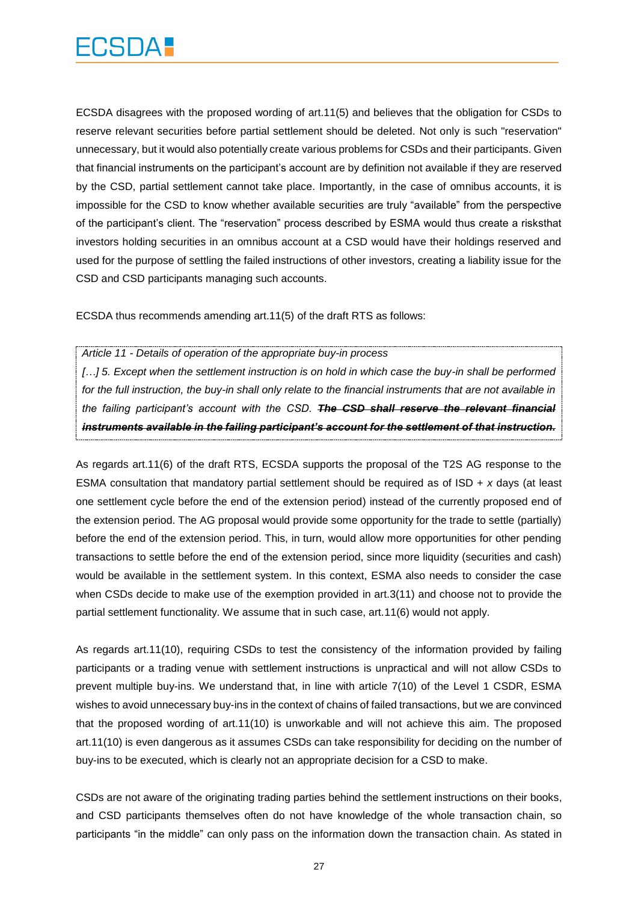ECSDA disagrees with the proposed wording of art.11(5) and believes that the obligation for CSDs to reserve relevant securities before partial settlement should be deleted. Not only is such "reservation" unnecessary, but it would also potentially create various problems for CSDs and their participants. Given that financial instruments on the participant's account are by definition not available if they are reserved by the CSD, partial settlement cannot take place. Importantly, in the case of omnibus accounts, it is impossible for the CSD to know whether available securities are truly "available" from the perspective of the participant's client. The "reservation" process described by ESMA would thus create a risksthat investors holding securities in an omnibus account at a CSD would have their holdings reserved and used for the purpose of settling the failed instructions of other investors, creating a liability issue for the CSD and CSD participants managing such accounts.

ECSDA thus recommends amending art.11(5) of the draft RTS as follows:

*Article 11 - Details of operation of the appropriate buy-in process* 

[...] 5. Except when the settlement instruction is on hold in which case the buy-in shall be performed *for the full instruction, the buy-in shall only relate to the financial instruments that are not available in the failing participant's account with the CSD. The CSD shall reserve the relevant financial instruments available in the failing participant's account for the settlement of that instruction.*

As regards art.11(6) of the draft RTS, ECSDA supports the proposal of the T2S AG response to the ESMA consultation that mandatory partial settlement should be required as of ISD + *x* days (at least one settlement cycle before the end of the extension period) instead of the currently proposed end of the extension period. The AG proposal would provide some opportunity for the trade to settle (partially) before the end of the extension period. This, in turn, would allow more opportunities for other pending transactions to settle before the end of the extension period, since more liquidity (securities and cash) would be available in the settlement system. In this context, ESMA also needs to consider the case when CSDs decide to make use of the exemption provided in art.3(11) and choose not to provide the partial settlement functionality. We assume that in such case, art.11(6) would not apply.

As regards art.11(10), requiring CSDs to test the consistency of the information provided by failing participants or a trading venue with settlement instructions is unpractical and will not allow CSDs to prevent multiple buy-ins. We understand that, in line with article 7(10) of the Level 1 CSDR, ESMA wishes to avoid unnecessary buy-ins in the context of chains of failed transactions, but we are convinced that the proposed wording of art.11(10) is unworkable and will not achieve this aim. The proposed art.11(10) is even dangerous as it assumes CSDs can take responsibility for deciding on the number of buy-ins to be executed, which is clearly not an appropriate decision for a CSD to make.

CSDs are not aware of the originating trading parties behind the settlement instructions on their books, and CSD participants themselves often do not have knowledge of the whole transaction chain, so participants "in the middle" can only pass on the information down the transaction chain. As stated in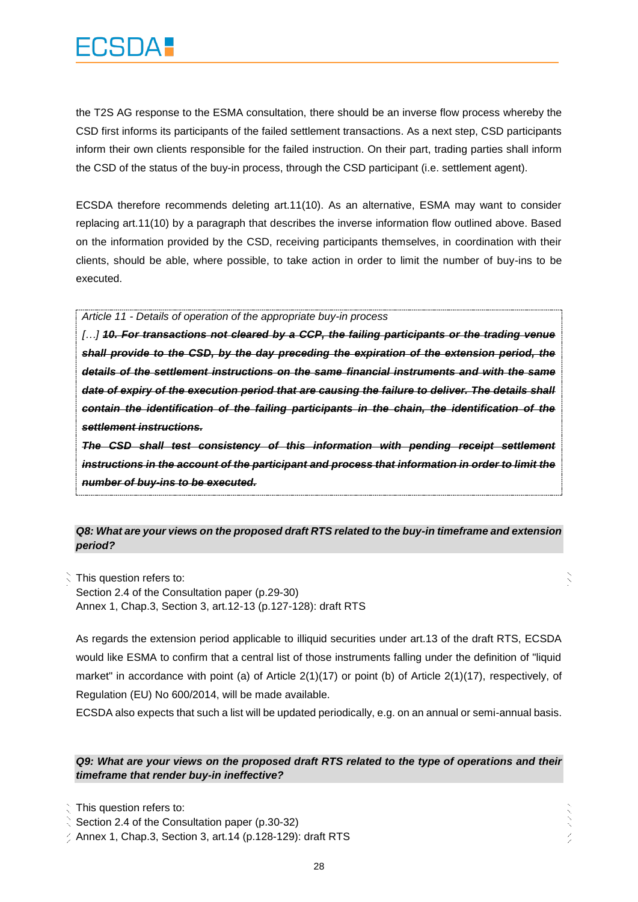the T2S AG response to the ESMA consultation, there should be an inverse flow process whereby the CSD first informs its participants of the failed settlement transactions. As a next step, CSD participants inform their own clients responsible for the failed instruction. On their part, trading parties shall inform the CSD of the status of the buy-in process, through the CSD participant (i.e. settlement agent).

ECSDA therefore recommends deleting art.11(10). As an alternative, ESMA may want to consider replacing art.11(10) by a paragraph that describes the inverse information flow outlined above. Based on the information provided by the CSD, receiving participants themselves, in coordination with their clients, should be able, where possible, to take action in order to limit the number of buy-ins to be executed.

*Article 11 - Details of operation of the appropriate buy-in process* 

*[…] 10. For transactions not cleared by a CCP, the failing participants or the trading venue shall provide to the CSD, by the day preceding the expiration of the extension period, the details of the settlement instructions on the same financial instruments and with the same date of expiry of the execution period that are causing the failure to deliver. The details shall contain the identification of the failing participants in the chain, the identification of the settlement instructions.*

*The CSD shall test consistency of this information with pending receipt settlement instructions in the account of the participant and process that information in order to limit the number of buy-ins to be executed.*

#### *Q8: What are your views on the proposed draft RTS related to the buy-in timeframe and extension period?*

 $\zeta$  This question refers to: Section 2.4 of the Consultation paper (p.29-30) Annex 1, Chap.3, Section 3, art.12-13 (p.127-128): draft RTS

As regards the extension period applicable to illiquid securities under art.13 of the draft RTS, ECSDA would like ESMA to confirm that a central list of those instruments falling under the definition of "liquid market" in accordance with point (a) of Article 2(1)(17) or point (b) of Article 2(1)(17), respectively, of Regulation (EU) No 600/2014, will be made available.

ECSDA also expects that such a list will be updated periodically, e.g. on an annual or semi-annual basis.

#### *Q9: What are your views on the proposed draft RTS related to the type of operations and their timeframe that render buy-in ineffective?*

This question refers to:

Section 2.4 of the Consultation paper (p.30-32)

 $\frac{1}{2}$  Annex 1, Chap.3, Section 3, art.14 (p.128-129): draft RTS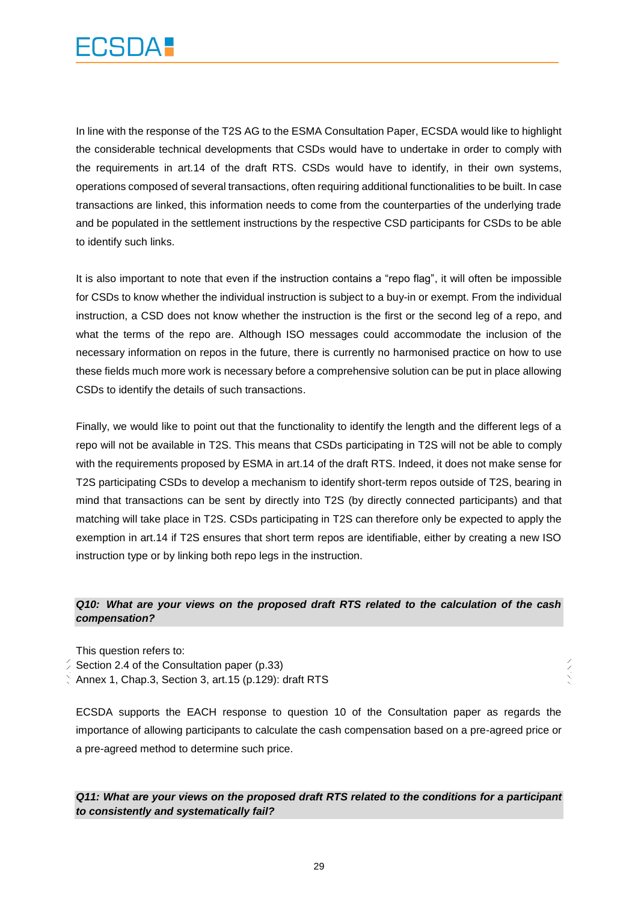

In line with the response of the T2S AG to the ESMA Consultation Paper, ECSDA would like to highlight the considerable technical developments that CSDs would have to undertake in order to comply with the requirements in art.14 of the draft RTS. CSDs would have to identify, in their own systems, operations composed of several transactions, often requiring additional functionalities to be built. In case transactions are linked, this information needs to come from the counterparties of the underlying trade and be populated in the settlement instructions by the respective CSD participants for CSDs to be able to identify such links.

It is also important to note that even if the instruction contains a "repo flag", it will often be impossible for CSDs to know whether the individual instruction is subject to a buy-in or exempt. From the individual instruction, a CSD does not know whether the instruction is the first or the second leg of a repo, and what the terms of the repo are. Although ISO messages could accommodate the inclusion of the necessary information on repos in the future, there is currently no harmonised practice on how to use these fields much more work is necessary before a comprehensive solution can be put in place allowing CSDs to identify the details of such transactions.

Finally, we would like to point out that the functionality to identify the length and the different legs of a repo will not be available in T2S. This means that CSDs participating in T2S will not be able to comply with the requirements proposed by ESMA in art.14 of the draft RTS. Indeed, it does not make sense for T2S participating CSDs to develop a mechanism to identify short-term repos outside of T2S, bearing in mind that transactions can be sent by directly into T2S (by directly connected participants) and that matching will take place in T2S. CSDs participating in T2S can therefore only be expected to apply the exemption in art.14 if T2S ensures that short term repos are identifiable, either by creating a new ISO instruction type or by linking both repo legs in the instruction.

#### *Q10: What are your views on the proposed draft RTS related to the calculation of the cash compensation?*

This question refers to:

- Section 2.4 of the Consultation paper (p.33)
- Annex 1, Chap.3, Section 3, art.15 (p.129): draft RTS

ECSDA supports the EACH response to question 10 of the Consultation paper as regards the importance of allowing participants to calculate the cash compensation based on a pre-agreed price or a pre-agreed method to determine such price.

*Q11: What are your views on the proposed draft RTS related to the conditions for a participant to consistently and systematically fail?*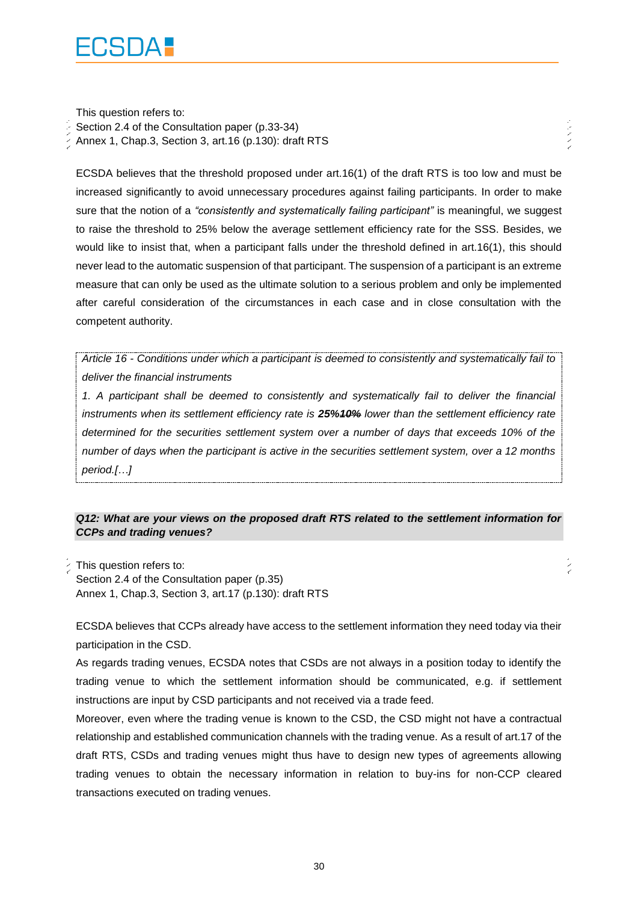

This question refers to: Section 2.4 of the Consultation paper (p.33-34) Annex 1, Chap.3, Section 3, art.16 (p.130): draft RTS

ECSDA believes that the threshold proposed under art.16(1) of the draft RTS is too low and must be increased significantly to avoid unnecessary procedures against failing participants. In order to make sure that the notion of a *"consistently and systematically failing participant"* is meaningful, we suggest to raise the threshold to 25% below the average settlement efficiency rate for the SSS. Besides, we would like to insist that, when a participant falls under the threshold defined in art.16(1), this should never lead to the automatic suspension of that participant. The suspension of a participant is an extreme measure that can only be used as the ultimate solution to a serious problem and only be implemented after careful consideration of the circumstances in each case and in close consultation with the competent authority.

しょく

*Article 16 - Conditions under which a participant is deemed to consistently and systematically fail to deliver the financial instruments*

*1. A participant shall be deemed to consistently and systematically fail to deliver the financial instruments when its settlement efficiency rate is 25%10% lower than the settlement efficiency rate determined for the securities settlement system over a number of days that exceeds 10% of the number of days when the participant is active in the securities settlement system, over a 12 months period.[…]*

#### *Q12: What are your views on the proposed draft RTS related to the settlement information for CCPs and trading venues?*

This question refers to: Section 2.4 of the Consultation paper (p.35) Annex 1, Chap.3, Section 3, art.17 (p.130): draft RTS

ECSDA believes that CCPs already have access to the settlement information they need today via their participation in the CSD.

As regards trading venues, ECSDA notes that CSDs are not always in a position today to identify the trading venue to which the settlement information should be communicated, e.g. if settlement instructions are input by CSD participants and not received via a trade feed.

Moreover, even where the trading venue is known to the CSD, the CSD might not have a contractual relationship and established communication channels with the trading venue. As a result of art.17 of the draft RTS, CSDs and trading venues might thus have to design new types of agreements allowing trading venues to obtain the necessary information in relation to buy-ins for non-CCP cleared transactions executed on trading venues.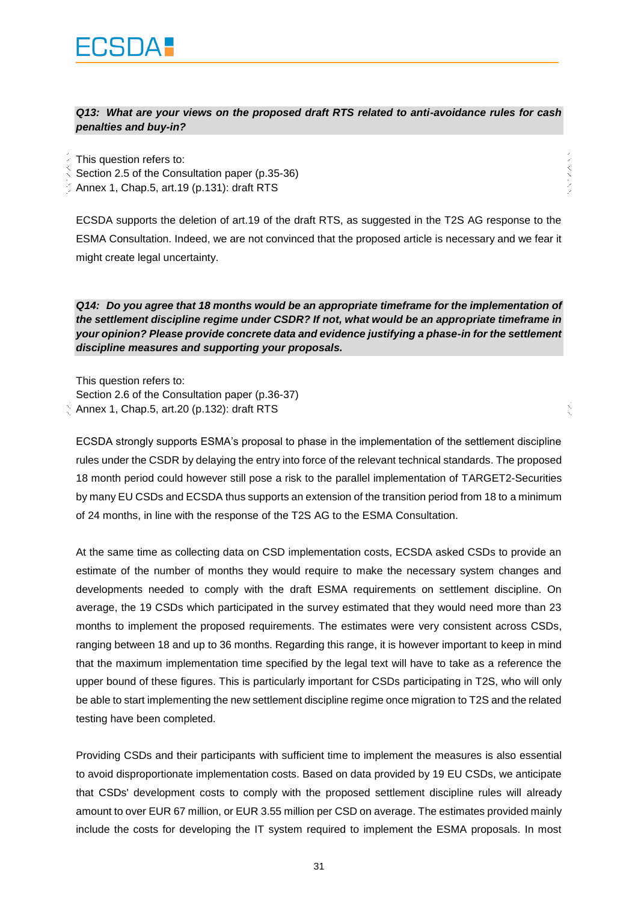*Q13: What are your views on the proposed draft RTS related to anti-avoidance rules for cash penalties and buy-in?*

いいへい

 $\lesssim$ 

This question refers to:

Section 2.5 of the Consultation paper (p.35-36)

Annex 1, Chap.5, art.19 (p.131): draft RTS

ECSDA supports the deletion of art.19 of the draft RTS, as suggested in the T2S AG response to the ESMA Consultation. Indeed, we are not convinced that the proposed article is necessary and we fear it might create legal uncertainty.

*Q14: Do you agree that 18 months would be an appropriate timeframe for the implementation of the settlement discipline regime under CSDR? If not, what would be an appropriate timeframe in your opinion? Please provide concrete data and evidence justifying a phase-in for the settlement discipline measures and supporting your proposals.*

This question refers to: Section 2.6 of the Consultation paper (p.36-37) Annex 1, Chap.5, art.20 (p.132): draft RTS

ECSDA strongly supports ESMA's proposal to phase in the implementation of the settlement discipline rules under the CSDR by delaying the entry into force of the relevant technical standards. The proposed 18 month period could however still pose a risk to the parallel implementation of TARGET2-Securities by many EU CSDs and ECSDA thus supports an extension of the transition period from 18 to a minimum of 24 months, in line with the response of the T2S AG to the ESMA Consultation.

At the same time as collecting data on CSD implementation costs, ECSDA asked CSDs to provide an estimate of the number of months they would require to make the necessary system changes and developments needed to comply with the draft ESMA requirements on settlement discipline. On average, the 19 CSDs which participated in the survey estimated that they would need more than 23 months to implement the proposed requirements. The estimates were very consistent across CSDs, ranging between 18 and up to 36 months. Regarding this range, it is however important to keep in mind that the maximum implementation time specified by the legal text will have to take as a reference the upper bound of these figures. This is particularly important for CSDs participating in T2S, who will only be able to start implementing the new settlement discipline regime once migration to T2S and the related testing have been completed.

Providing CSDs and their participants with sufficient time to implement the measures is also essential to avoid disproportionate implementation costs. Based on data provided by 19 EU CSDs, we anticipate that CSDs' development costs to comply with the proposed settlement discipline rules will already amount to over EUR 67 million, or EUR 3.55 million per CSD on average. The estimates provided mainly include the costs for developing the IT system required to implement the ESMA proposals. In most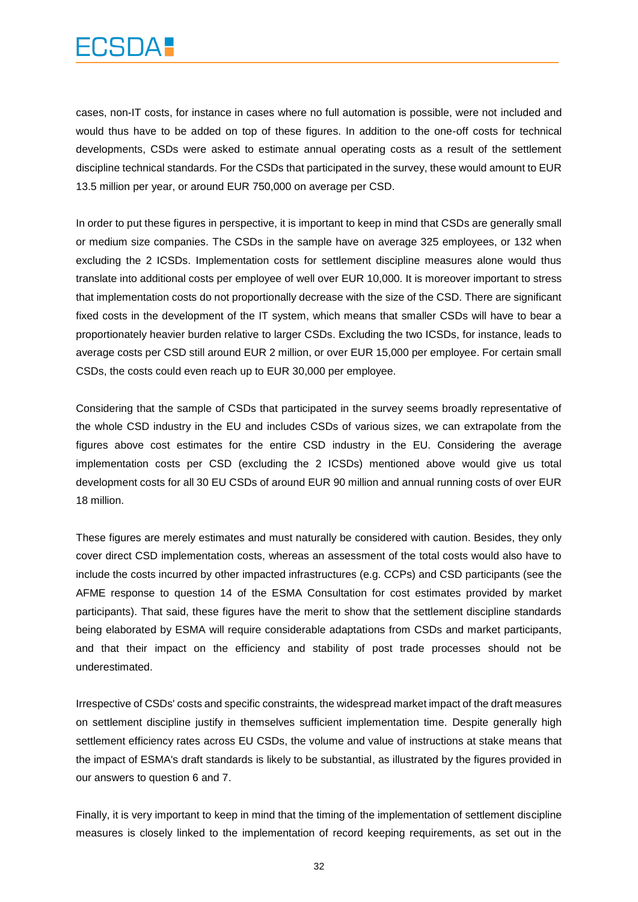## FCSDA :

cases, non-IT costs, for instance in cases where no full automation is possible, were not included and would thus have to be added on top of these figures. In addition to the one-off costs for technical developments, CSDs were asked to estimate annual operating costs as a result of the settlement discipline technical standards. For the CSDs that participated in the survey, these would amount to EUR 13.5 million per year, or around EUR 750,000 on average per CSD.

In order to put these figures in perspective, it is important to keep in mind that CSDs are generally small or medium size companies. The CSDs in the sample have on average 325 employees, or 132 when excluding the 2 ICSDs. Implementation costs for settlement discipline measures alone would thus translate into additional costs per employee of well over EUR 10,000. It is moreover important to stress that implementation costs do not proportionally decrease with the size of the CSD. There are significant fixed costs in the development of the IT system, which means that smaller CSDs will have to bear a proportionately heavier burden relative to larger CSDs. Excluding the two ICSDs, for instance, leads to average costs per CSD still around EUR 2 million, or over EUR 15,000 per employee. For certain small CSDs, the costs could even reach up to EUR 30,000 per employee.

Considering that the sample of CSDs that participated in the survey seems broadly representative of the whole CSD industry in the EU and includes CSDs of various sizes, we can extrapolate from the figures above cost estimates for the entire CSD industry in the EU. Considering the average implementation costs per CSD (excluding the 2 ICSDs) mentioned above would give us total development costs for all 30 EU CSDs of around EUR 90 million and annual running costs of over EUR 18 million.

These figures are merely estimates and must naturally be considered with caution. Besides, they only cover direct CSD implementation costs, whereas an assessment of the total costs would also have to include the costs incurred by other impacted infrastructures (e.g. CCPs) and CSD participants (see the AFME response to question 14 of the ESMA Consultation for cost estimates provided by market participants). That said, these figures have the merit to show that the settlement discipline standards being elaborated by ESMA will require considerable adaptations from CSDs and market participants, and that their impact on the efficiency and stability of post trade processes should not be underestimated.

Irrespective of CSDs' costs and specific constraints, the widespread market impact of the draft measures on settlement discipline justify in themselves sufficient implementation time. Despite generally high settlement efficiency rates across EU CSDs, the volume and value of instructions at stake means that the impact of ESMA's draft standards is likely to be substantial, as illustrated by the figures provided in our answers to question 6 and 7.

Finally, it is very important to keep in mind that the timing of the implementation of settlement discipline measures is closely linked to the implementation of record keeping requirements, as set out in the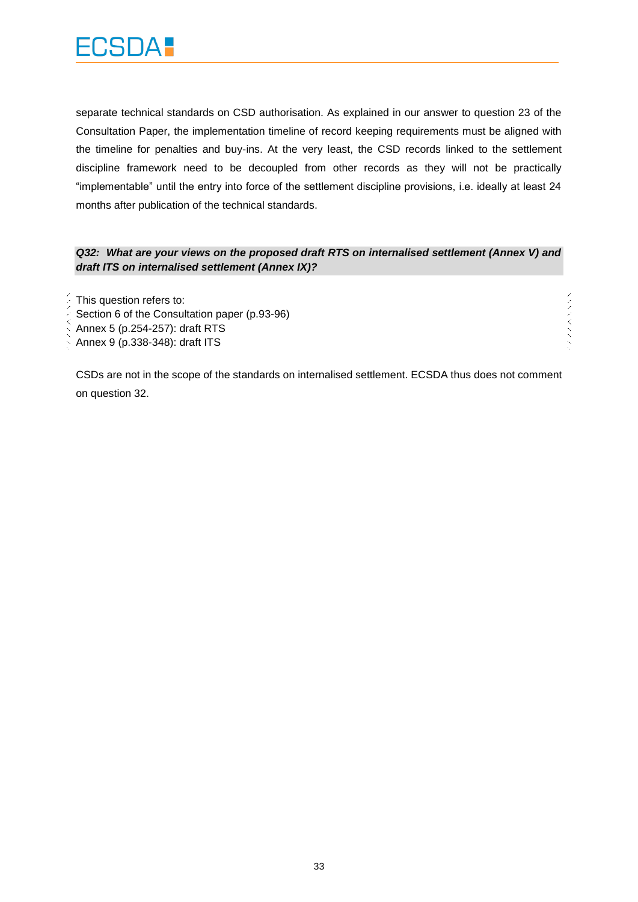

separate technical standards on CSD authorisation. As explained in our answer to question 23 of the Consultation Paper, the implementation timeline of record keeping requirements must be aligned with the timeline for penalties and buy-ins. At the very least, the CSD records linked to the settlement discipline framework need to be decoupled from other records as they will not be practically "implementable" until the entry into force of the settlement discipline provisions, i.e. ideally at least 24 months after publication of the technical standards.

#### *Q32: What are your views on the proposed draft RTS on internalised settlement (Annex V) and draft ITS on internalised settlement (Annex IX)?*

アノノベストラン

This question refers to:

Section 6 of the Consultation paper (p.93-96)

Annex 5 (p.254-257): draft RTS

Annex 9 (p.338-348): draft ITS

CSDs are not in the scope of the standards on internalised settlement. ECSDA thus does not comment on question 32.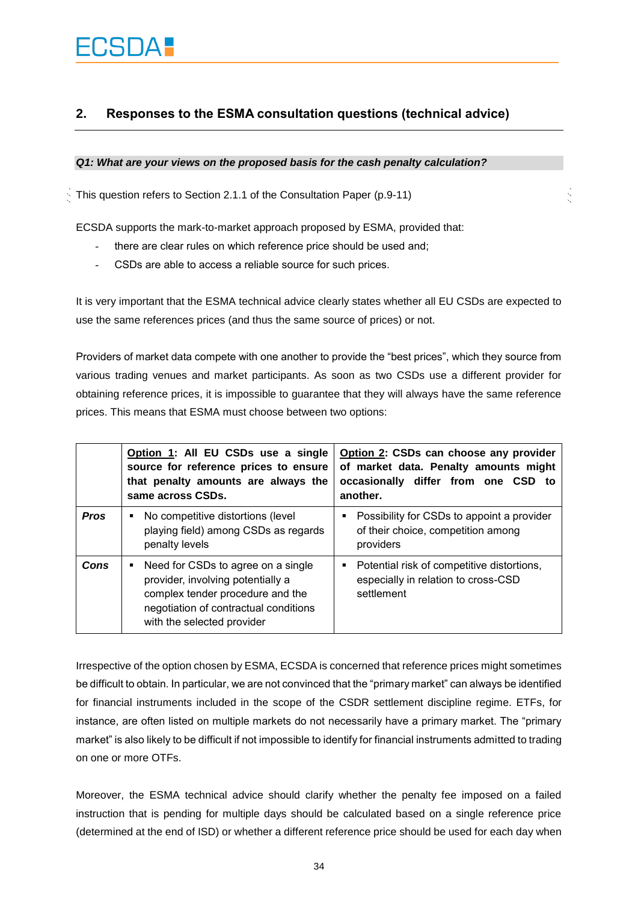### **2. Responses to the ESMA consultation questions (technical advice)**

#### *Q1: What are your views on the proposed basis for the cash penalty calculation?*

This question refers to Section 2.1.1 of the Consultation Paper (p.9-11)

ECSDA supports the mark-to-market approach proposed by ESMA, provided that:

- there are clear rules on which reference price should be used and;
- CSDs are able to access a reliable source for such prices.

It is very important that the ESMA technical advice clearly states whether all EU CSDs are expected to use the same references prices (and thus the same source of prices) or not.

Providers of market data compete with one another to provide the "best prices", which they source from various trading venues and market participants. As soon as two CSDs use a different provider for obtaining reference prices, it is impossible to guarantee that they will always have the same reference prices. This means that ESMA must choose between two options:

|             | Option 1: All EU CSDs use a single<br>source for reference prices to ensure<br>that penalty amounts are always the<br>same across CSDs.                                            | Option 2: CSDs can choose any provider<br>of market data. Penalty amounts might<br>occasionally differ from one CSD to<br>another. |
|-------------|------------------------------------------------------------------------------------------------------------------------------------------------------------------------------------|------------------------------------------------------------------------------------------------------------------------------------|
| <b>Pros</b> | No competitive distortions (level<br>٠<br>playing field) among CSDs as regards<br>penalty levels                                                                                   | Possibility for CSDs to appoint a provider<br>٠<br>of their choice, competition among<br>providers                                 |
| Cons        | Need for CSDs to agree on a single<br>provider, involving potentially a<br>complex tender procedure and the<br>negotiation of contractual conditions<br>with the selected provider | Potential risk of competitive distortions,<br>٠<br>especially in relation to cross-CSD<br>settlement                               |

Irrespective of the option chosen by ESMA, ECSDA is concerned that reference prices might sometimes be difficult to obtain. In particular, we are not convinced that the "primary market" can always be identified for financial instruments included in the scope of the CSDR settlement discipline regime. ETFs, for instance, are often listed on multiple markets do not necessarily have a primary market. The "primary market" is also likely to be difficult if not impossible to identify for financial instruments admitted to trading on one or more OTFs.

Moreover, the ESMA technical advice should clarify whether the penalty fee imposed on a failed instruction that is pending for multiple days should be calculated based on a single reference price (determined at the end of ISD) or whether a different reference price should be used for each day when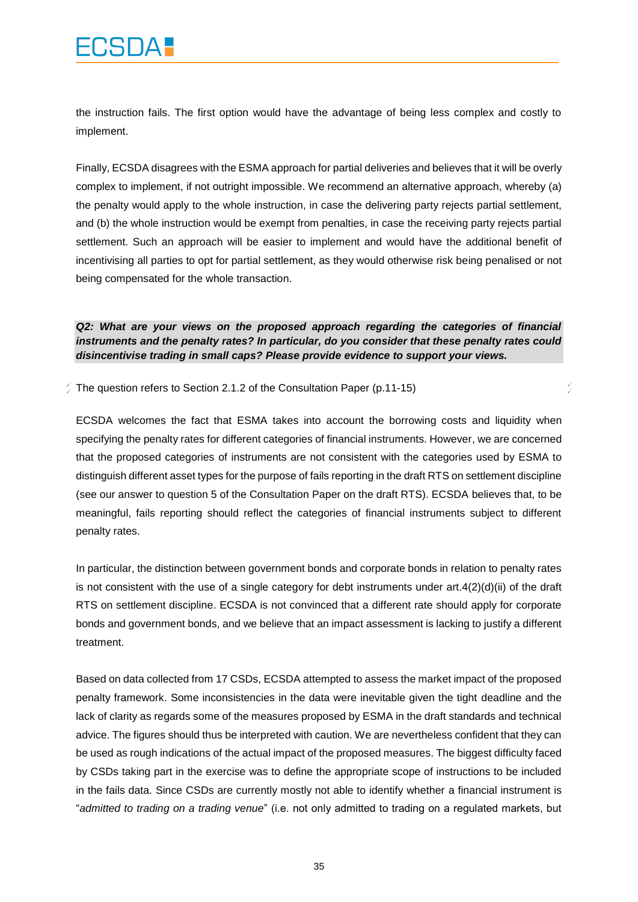the instruction fails. The first option would have the advantage of being less complex and costly to implement.

Finally, ECSDA disagrees with the ESMA approach for partial deliveries and believes that it will be overly complex to implement, if not outright impossible. We recommend an alternative approach, whereby (a) the penalty would apply to the whole instruction, in case the delivering party rejects partial settlement, and (b) the whole instruction would be exempt from penalties, in case the receiving party rejects partial settlement. Such an approach will be easier to implement and would have the additional benefit of incentivising all parties to opt for partial settlement, as they would otherwise risk being penalised or not being compensated for the whole transaction.

*Q2: What are your views on the proposed approach regarding the categories of financial instruments and the penalty rates? In particular, do you consider that these penalty rates could disincentivise trading in small caps? Please provide evidence to support your views.*

Ž

 $\frac{1}{2}$  The question refers to Section 2.1.2 of the Consultation Paper (p.11-15)

ECSDA welcomes the fact that ESMA takes into account the borrowing costs and liquidity when specifying the penalty rates for different categories of financial instruments. However, we are concerned that the proposed categories of instruments are not consistent with the categories used by ESMA to distinguish different asset types for the purpose of fails reporting in the draft RTS on settlement discipline (see our answer to question 5 of the Consultation Paper on the draft RTS). ECSDA believes that, to be meaningful, fails reporting should reflect the categories of financial instruments subject to different penalty rates.

In particular, the distinction between government bonds and corporate bonds in relation to penalty rates is not consistent with the use of a single category for debt instruments under  $art.4(2)(d)(ii)$  of the draft RTS on settlement discipline. ECSDA is not convinced that a different rate should apply for corporate bonds and government bonds, and we believe that an impact assessment is lacking to justify a different treatment.

Based on data collected from 17 CSDs, ECSDA attempted to assess the market impact of the proposed penalty framework. Some inconsistencies in the data were inevitable given the tight deadline and the lack of clarity as regards some of the measures proposed by ESMA in the draft standards and technical advice. The figures should thus be interpreted with caution. We are nevertheless confident that they can be used as rough indications of the actual impact of the proposed measures. The biggest difficulty faced by CSDs taking part in the exercise was to define the appropriate scope of instructions to be included in the fails data. Since CSDs are currently mostly not able to identify whether a financial instrument is "*admitted to trading on a trading venue*" (i.e. not only admitted to trading on a regulated markets, but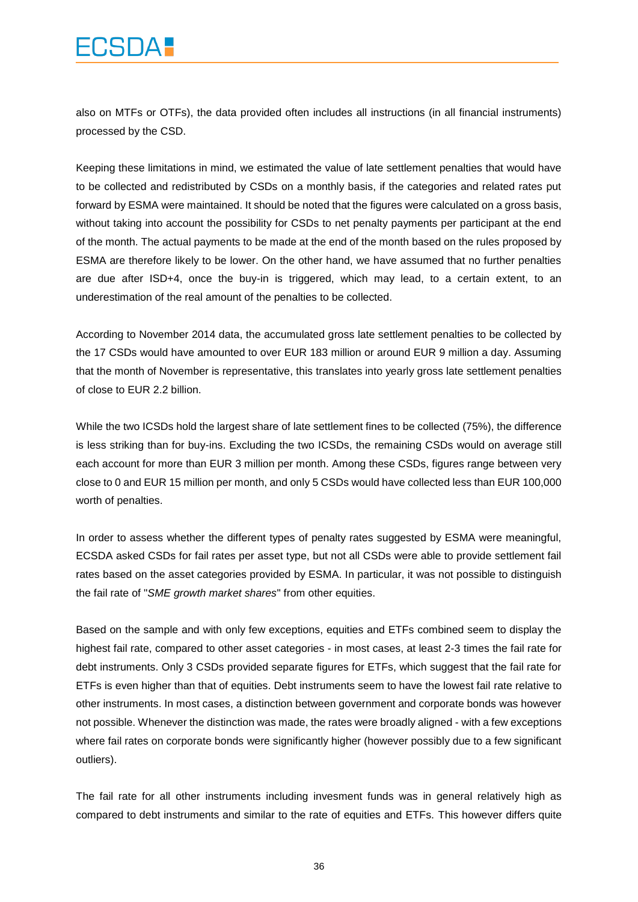## **CSDA!**

also on MTFs or OTFs), the data provided often includes all instructions (in all financial instruments) processed by the CSD.

Keeping these limitations in mind, we estimated the value of late settlement penalties that would have to be collected and redistributed by CSDs on a monthly basis, if the categories and related rates put forward by ESMA were maintained. It should be noted that the figures were calculated on a gross basis, without taking into account the possibility for CSDs to net penalty payments per participant at the end of the month. The actual payments to be made at the end of the month based on the rules proposed by ESMA are therefore likely to be lower. On the other hand, we have assumed that no further penalties are due after ISD+4, once the buy-in is triggered, which may lead, to a certain extent, to an underestimation of the real amount of the penalties to be collected.

According to November 2014 data, the accumulated gross late settlement penalties to be collected by the 17 CSDs would have amounted to over EUR 183 million or around EUR 9 million a day. Assuming that the month of November is representative, this translates into yearly gross late settlement penalties of close to EUR 2.2 billion.

While the two ICSDs hold the largest share of late settlement fines to be collected (75%), the difference is less striking than for buy-ins. Excluding the two ICSDs, the remaining CSDs would on average still each account for more than EUR 3 million per month. Among these CSDs, figures range between very close to 0 and EUR 15 million per month, and only 5 CSDs would have collected less than EUR 100,000 worth of penalties.

In order to assess whether the different types of penalty rates suggested by ESMA were meaningful, ECSDA asked CSDs for fail rates per asset type, but not all CSDs were able to provide settlement fail rates based on the asset categories provided by ESMA. In particular, it was not possible to distinguish the fail rate of "*SME growth market shares*" from other equities.

Based on the sample and with only few exceptions, equities and ETFs combined seem to display the highest fail rate, compared to other asset categories - in most cases, at least 2-3 times the fail rate for debt instruments. Only 3 CSDs provided separate figures for ETFs, which suggest that the fail rate for ETFs is even higher than that of equities. Debt instruments seem to have the lowest fail rate relative to other instruments. In most cases, a distinction between government and corporate bonds was however not possible. Whenever the distinction was made, the rates were broadly aligned - with a few exceptions where fail rates on corporate bonds were significantly higher (however possibly due to a few significant outliers).

The fail rate for all other instruments including invesment funds was in general relatively high as compared to debt instruments and similar to the rate of equities and ETFs. This however differs quite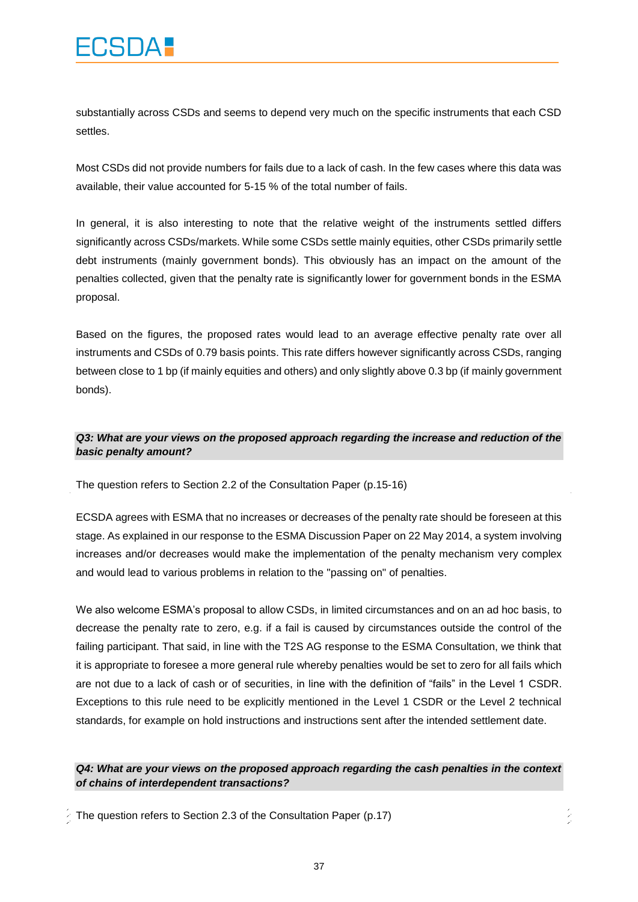substantially across CSDs and seems to depend very much on the specific instruments that each CSD settles.

Most CSDs did not provide numbers for fails due to a lack of cash. In the few cases where this data was available, their value accounted for 5-15 % of the total number of fails.

In general, it is also interesting to note that the relative weight of the instruments settled differs significantly across CSDs/markets. While some CSDs settle mainly equities, other CSDs primarily settle debt instruments (mainly government bonds). This obviously has an impact on the amount of the penalties collected, given that the penalty rate is significantly lower for government bonds in the ESMA proposal.

Based on the figures, the proposed rates would lead to an average effective penalty rate over all instruments and CSDs of 0.79 basis points. This rate differs however significantly across CSDs, ranging between close to 1 bp (if mainly equities and others) and only slightly above 0.3 bp (if mainly government bonds).

#### *Q3: What are your views on the proposed approach regarding the increase and reduction of the basic penalty amount?*

The question refers to Section 2.2 of the Consultation Paper (p.15-16)

ECSDA agrees with ESMA that no increases or decreases of the penalty rate should be foreseen at this stage. As explained in our response to the ESMA Discussion Paper on 22 May 2014, a system involving increases and/or decreases would make the implementation of the penalty mechanism very complex and would lead to various problems in relation to the "passing on" of penalties.

We also welcome ESMA's proposal to allow CSDs, in limited circumstances and on an ad hoc basis, to decrease the penalty rate to zero, e.g. if a fail is caused by circumstances outside the control of the failing participant. That said, in line with the T2S AG response to the ESMA Consultation, we think that it is appropriate to foresee a more general rule whereby penalties would be set to zero for all fails which are not due to a lack of cash or of securities, in line with the definition of "fails" in the Level 1 CSDR. Exceptions to this rule need to be explicitly mentioned in the Level 1 CSDR or the Level 2 technical standards, for example on hold instructions and instructions sent after the intended settlement date.

#### *Q4: What are your views on the proposed approach regarding the cash penalties in the context of chains of interdependent transactions?*

The question refers to Section 2.3 of the Consultation Paper (p.17)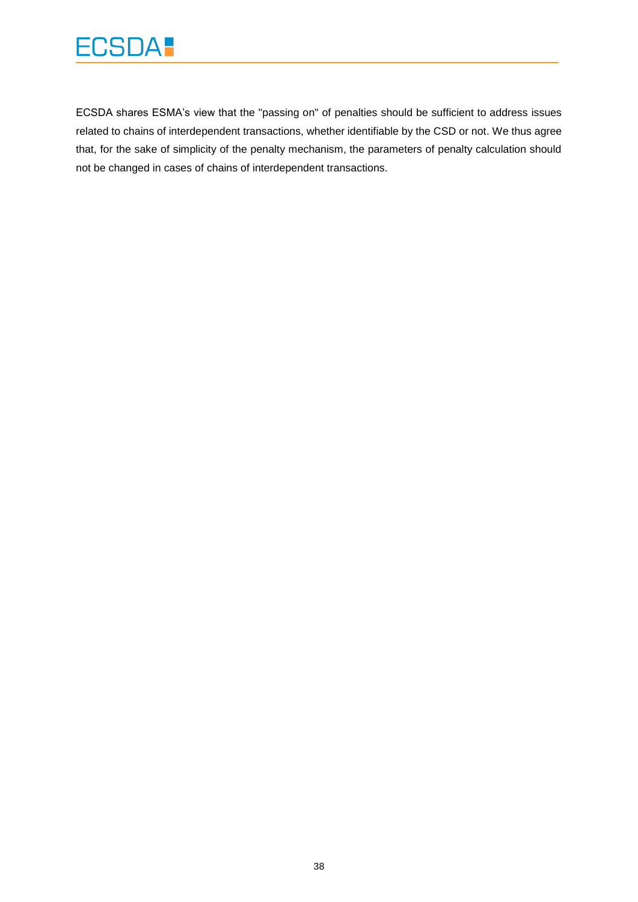

ECSDA shares ESMA's view that the "passing on" of penalties should be sufficient to address issues related to chains of interdependent transactions, whether identifiable by the CSD or not. We thus agree that, for the sake of simplicity of the penalty mechanism, the parameters of penalty calculation should not be changed in cases of chains of interdependent transactions.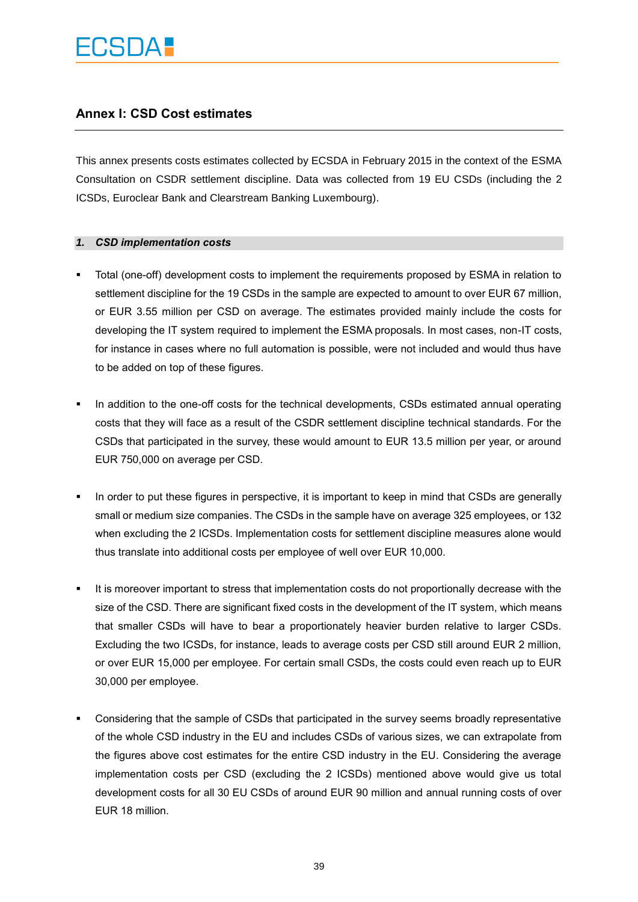### **Annex I: CSD Cost estimates**

This annex presents costs estimates collected by ECSDA in February 2015 in the context of the [ESMA](http://www.esma.europa.eu/consultation/Consultation-Technical-Standards-under-CSD-Regulation)  [Consultation](http://www.esma.europa.eu/consultation/Consultation-Technical-Standards-under-CSD-Regulation) on CSDR settlement discipline. Data was collected from 19 EU CSDs (including the 2 ICSDs, Euroclear Bank and Clearstream Banking Luxembourg).

#### *1. CSD implementation costs*

- Total (one-off) development costs to implement the requirements proposed by ESMA in relation to settlement discipline for the 19 CSDs in the sample are expected to amount to over EUR 67 million, or EUR 3.55 million per CSD on average. The estimates provided mainly include the costs for developing the IT system required to implement the ESMA proposals. In most cases, non-IT costs, for instance in cases where no full automation is possible, were not included and would thus have to be added on top of these figures.
- In addition to the one-off costs for the technical developments, CSDs estimated annual operating costs that they will face as a result of the CSDR settlement discipline technical standards. For the CSDs that participated in the survey, these would amount to EUR 13.5 million per year, or around EUR 750,000 on average per CSD.
- In order to put these figures in perspective, it is important to keep in mind that CSDs are generally small or medium size companies. The CSDs in the sample have on average 325 employees, or 132 when excluding the 2 ICSDs. Implementation costs for settlement discipline measures alone would thus translate into additional costs per employee of well over EUR 10,000.
- It is moreover important to stress that implementation costs do not proportionally decrease with the size of the CSD. There are significant fixed costs in the development of the IT system, which means that smaller CSDs will have to bear a proportionately heavier burden relative to larger CSDs. Excluding the two ICSDs, for instance, leads to average costs per CSD still around EUR 2 million, or over EUR 15,000 per employee. For certain small CSDs, the costs could even reach up to EUR 30,000 per employee.
- Considering that the sample of CSDs that participated in the survey seems broadly representative of the whole CSD industry in the EU and includes CSDs of various sizes, we can extrapolate from the figures above cost estimates for the entire CSD industry in the EU. Considering the average implementation costs per CSD (excluding the 2 ICSDs) mentioned above would give us total development costs for all 30 EU CSDs of around EUR 90 million and annual running costs of over EUR 18 million.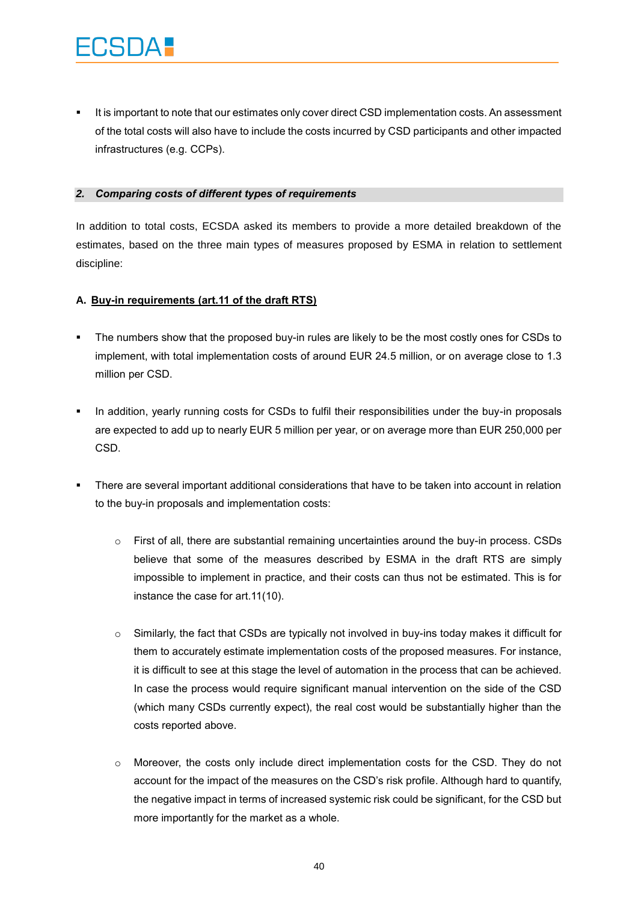It is important to note that our estimates only cover direct CSD implementation costs. An assessment of the total costs will also have to include the costs incurred by CSD participants and other impacted infrastructures (e.g. CCPs).

#### *2. Comparing costs of different types of requirements*

In addition to total costs, ECSDA asked its members to provide a more detailed breakdown of the estimates, based on the three main types of measures proposed by ESMA in relation to settlement discipline:

#### **A. Buy-in requirements (art.11 of the draft RTS)**

- The numbers show that the proposed buy-in rules are likely to be the most costly ones for CSDs to implement, with total implementation costs of around EUR 24.5 million, or on average close to 1.3 million per CSD.
- In addition, yearly running costs for CSDs to fulfil their responsibilities under the buy-in proposals are expected to add up to nearly EUR 5 million per year, or on average more than EUR 250,000 per CSD.
- There are several important additional considerations that have to be taken into account in relation to the buy-in proposals and implementation costs:
	- $\circ$  First of all, there are substantial remaining uncertainties around the buy-in process. CSDs believe that some of the measures described by ESMA in the draft RTS are simply impossible to implement in practice, and their costs can thus not be estimated. This is for instance the case for art.11(10).
	- $\circ$  Similarly, the fact that CSDs are typically not involved in buy-ins today makes it difficult for them to accurately estimate implementation costs of the proposed measures. For instance, it is difficult to see at this stage the level of automation in the process that can be achieved. In case the process would require significant manual intervention on the side of the CSD (which many CSDs currently expect), the real cost would be substantially higher than the costs reported above.
	- $\circ$  Moreover, the costs only include direct implementation costs for the CSD. They do not account for the impact of the measures on the CSD's risk profile. Although hard to quantify, the negative impact in terms of increased systemic risk could be significant, for the CSD but more importantly for the market as a whole.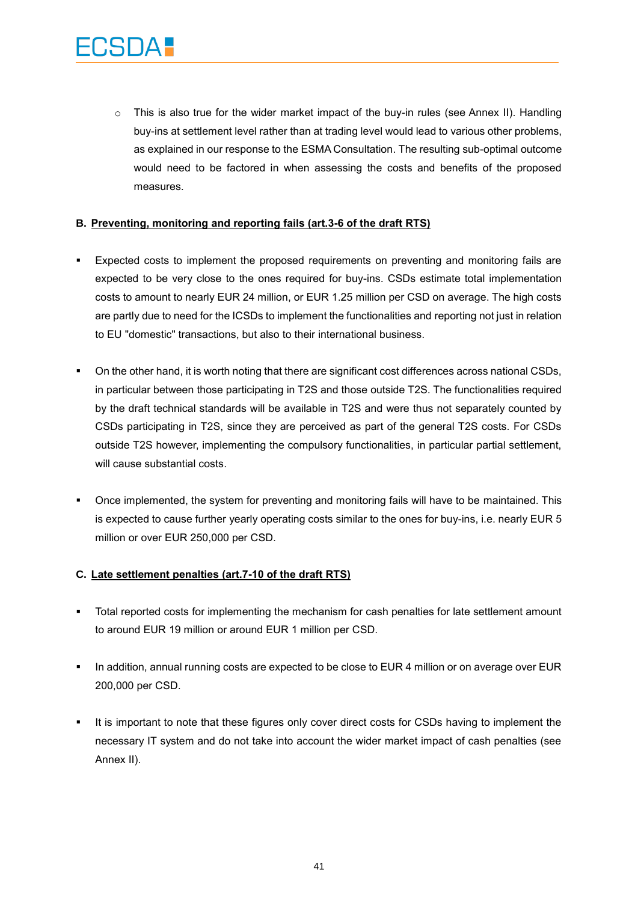$\circ$  This is also true for the wider market impact of the buy-in rules (see Annex II). Handling buy-ins at settlement level rather than at trading level would lead to various other problems, as explained in our response to the ESMA Consultation. The resulting sub-optimal outcome would need to be factored in when assessing the costs and benefits of the proposed measures.

#### **B. Preventing, monitoring and reporting fails (art.3-6 of the draft RTS)**

- Expected costs to implement the proposed requirements on preventing and monitoring fails are expected to be very close to the ones required for buy-ins. CSDs estimate total implementation costs to amount to nearly EUR 24 million, or EUR 1.25 million per CSD on average. The high costs are partly due to need for the ICSDs to implement the functionalities and reporting not just in relation to EU "domestic" transactions, but also to their international business.
- On the other hand, it is worth noting that there are significant cost differences across national CSDs, in particular between those participating in T2S and those outside T2S. The functionalities required by the draft technical standards will be available in T2S and were thus not separately counted by CSDs participating in T2S, since they are perceived as part of the general T2S costs. For CSDs outside T2S however, implementing the compulsory functionalities, in particular partial settlement, will cause substantial costs.
- Once implemented, the system for preventing and monitoring fails will have to be maintained. This is expected to cause further yearly operating costs similar to the ones for buy-ins, i.e. nearly EUR 5 million or over EUR 250,000 per CSD.

#### **C. Late settlement penalties (art.7-10 of the draft RTS)**

- Total reported costs for implementing the mechanism for cash penalties for late settlement amount to around EUR 19 million or around EUR 1 million per CSD.
- In addition, annual running costs are expected to be close to EUR 4 million or on average over EUR 200,000 per CSD.
- It is important to note that these figures only cover direct costs for CSDs having to implement the necessary IT system and do not take into account the wider market impact of cash penalties (see Annex II).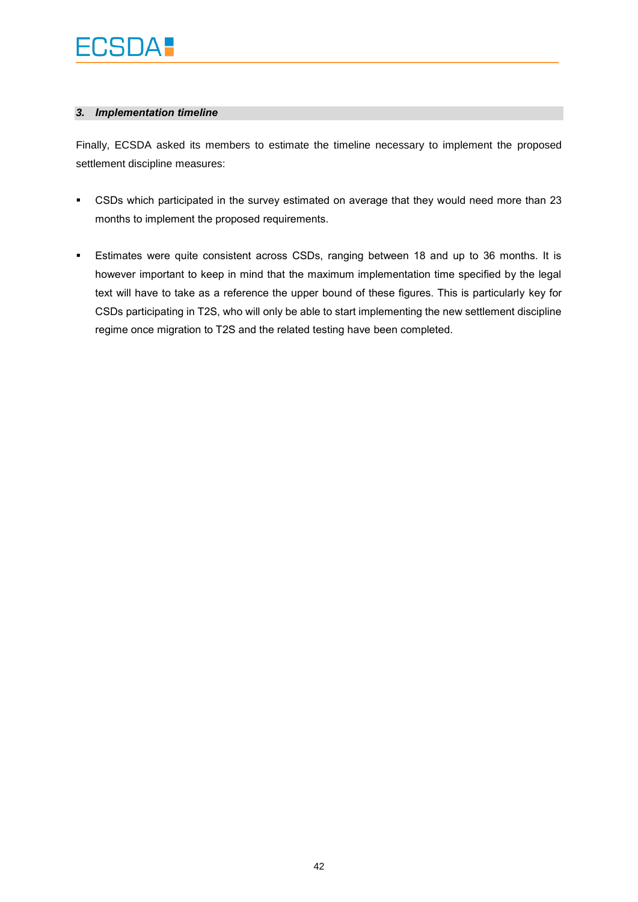## ECSDA :

#### *3. Implementation timeline*

Finally, ECSDA asked its members to estimate the timeline necessary to implement the proposed settlement discipline measures:

- CSDs which participated in the survey estimated on average that they would need more than 23 months to implement the proposed requirements.
- Estimates were quite consistent across CSDs, ranging between 18 and up to 36 months. It is however important to keep in mind that the maximum implementation time specified by the legal text will have to take as a reference the upper bound of these figures. This is particularly key for CSDs participating in T2S, who will only be able to start implementing the new settlement discipline regime once migration to T2S and the related testing have been completed.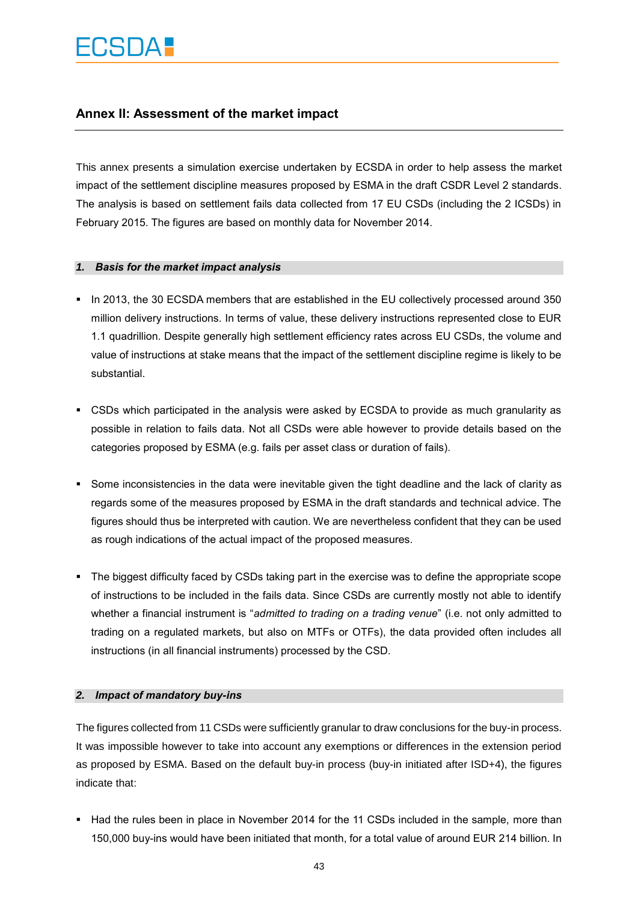### **Annex II: Assessment of the market impact**

This annex presents a simulation exercise undertaken by ECSDA in order to help assess the market impact of the settlement discipline measures proposed by ESMA in the draft CSDR Level 2 standards. The analysis is based on settlement fails data collected from 17 EU CSDs (including the 2 ICSDs) in February 2015. The figures are based on monthly data for November 2014.

#### *1. Basis for the market impact analysis*

- In 2013, the 30 ECSDA members that are established in the EU collectively processed around 350 million delivery instructions. In terms of value, these delivery instructions represented close to EUR 1.1 quadrillion. Despite generally high settlement efficiency rates across EU CSDs, the volume and value of instructions at stake means that the impact of the settlement discipline regime is likely to be substantial.
- CSDs which participated in the analysis were asked by ECSDA to provide as much granularity as possible in relation to fails data. Not all CSDs were able however to provide details based on the categories proposed by ESMA (e.g. fails per asset class or duration of fails).
- Some inconsistencies in the data were inevitable given the tight deadline and the lack of clarity as regards some of the measures proposed by ESMA in the draft standards and technical advice. The figures should thus be interpreted with caution. We are nevertheless confident that they can be used as rough indications of the actual impact of the proposed measures.
- The biggest difficulty faced by CSDs taking part in the exercise was to define the appropriate scope of instructions to be included in the fails data. Since CSDs are currently mostly not able to identify whether a financial instrument is "*admitted to trading on a trading venue*" (i.e. not only admitted to trading on a regulated markets, but also on MTFs or OTFs), the data provided often includes all instructions (in all financial instruments) processed by the CSD.

#### *2. Impact of mandatory buy-ins*

The figures collected from 11 CSDs were sufficiently granular to draw conclusions for the buy-in process. It was impossible however to take into account any exemptions or differences in the extension period as proposed by ESMA. Based on the default buy-in process (buy-in initiated after ISD+4), the figures indicate that:

Had the rules been in place in November 2014 for the 11 CSDs included in the sample, more than 150,000 buy-ins would have been initiated that month, for a total value of around EUR 214 billion. In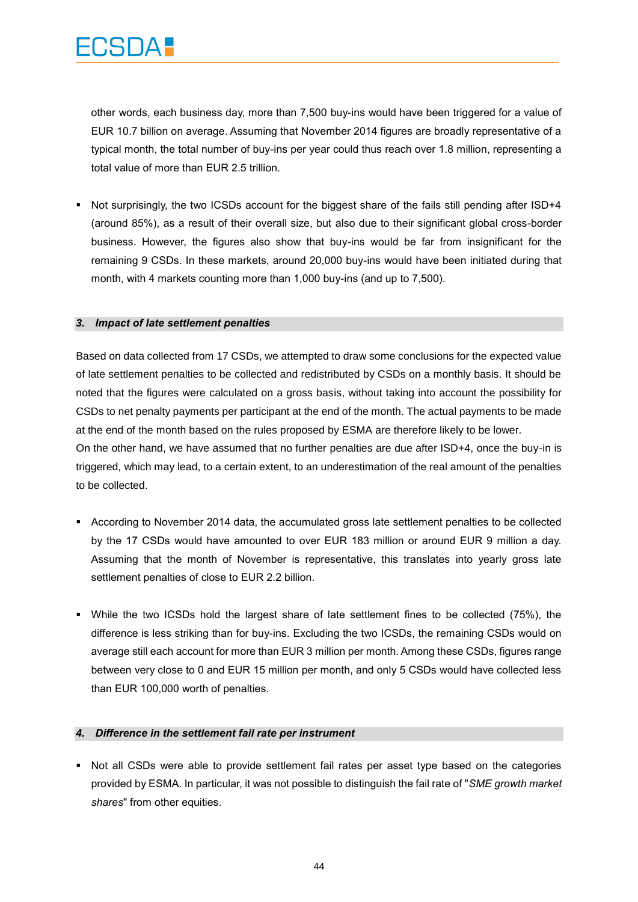other words, each business day, more than 7,500 buy-ins would have been triggered for a value of EUR 10.7 billion on average. Assuming that November 2014 figures are broadly representative of a typical month, the total number of buy-ins per year could thus reach over 1.8 million, representing a total value of more than EUR 2.5 trillion.

 Not surprisingly, the two ICSDs account for the biggest share of the fails still pending after ISD+4 (around 85%), as a result of their overall size, but also due to their significant global cross-border business. However, the figures also show that buy-ins would be far from insignificant for the remaining 9 CSDs. In these markets, around 20,000 buy-ins would have been initiated during that month, with 4 markets counting more than 1,000 buy-ins (and up to 7,500).

#### *3. Impact of late settlement penalties*

Based on data collected from 17 CSDs, we attempted to draw some conclusions for the expected value of late settlement penalties to be collected and redistributed by CSDs on a monthly basis. It should be noted that the figures were calculated on a gross basis, without taking into account the possibility for CSDs to net penalty payments per participant at the end of the month. The actual payments to be made at the end of the month based on the rules proposed by ESMA are therefore likely to be lower. On the other hand, we have assumed that no further penalties are due after ISD+4, once the buy-in is triggered, which may lead, to a certain extent, to an underestimation of the real amount of the penalties to be collected.

- According to November 2014 data, the accumulated gross late settlement penalties to be collected by the 17 CSDs would have amounted to over EUR 183 million or around EUR 9 million a day. Assuming that the month of November is representative, this translates into yearly gross late settlement penalties of close to EUR 2.2 billion.
- While the two ICSDs hold the largest share of late settlement fines to be collected (75%), the difference is less striking than for buy-ins. Excluding the two ICSDs, the remaining CSDs would on average still each account for more than EUR 3 million per month. Among these CSDs, figures range between very close to 0 and EUR 15 million per month, and only 5 CSDs would have collected less than EUR 100,000 worth of penalties.

#### *4. Difference in the settlement fail rate per instrument*

• Not all CSDs were able to provide settlement fail rates per asset type based on the categories provided by ESMA. In particular, it was not possible to distinguish the fail rate of "*SME growth market shares*" from other equities.